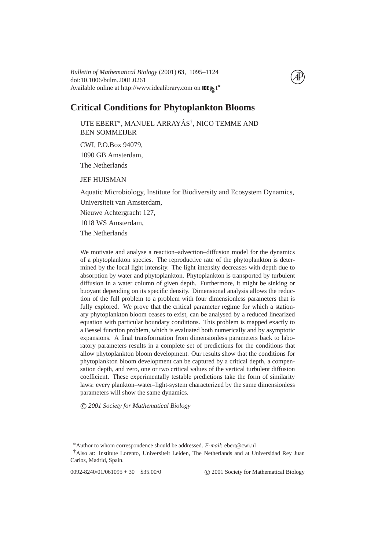Available online at http://www.idealibrary.com on **IDE** doi:10.1006/bulm.2001.0261 *Bulletin of Mathematical Biology* (2001) **63**, 1095–1124



# **Critical Conditions for Phytoplankton Blooms**

UTE EBERT\*, MANUEL ARRAYÁS<sup>†</sup>, NICO TEMME AND BEN SOMMEIJER

CWI, P.O.Box 94079, 1090 GB Amsterdam, The Netherlands

JEF HUISMAN

Aquatic Microbiology, Institute for Biodiversity and Ecosystem Dynamics, Universiteit van Amsterdam, Nieuwe Achtergracht 127, 1018 WS Amsterdam, The Netherlands

We motivate and analyse a reaction–advection–diffusion model for the dynamics of a phytoplankton species. The reproductive rate of the phytoplankton is determined by the local light intensity. The light intensity decreases with depth due to absorption by water and phytoplankton. Phytoplankton is transported by turbulent diffusion in a water column of given depth. Furthermore, it might be sinking or buoyant depending on its specific density. Dimensional analysis allows the reduction of the full problem to a problem with four dimensionless parameters that is fully explored. We prove that the critical parameter regime for which a stationary phytoplankton bloom ceases to exist, can be analysed by a reduced linearized equation with particular boundary conditions. This problem is mapped exactly to a Bessel function problem, which is evaluated both numerically and by asymptotic expansions. A final transformation from dimensionless parameters back to laboratory parameters results in a complete set of predictions for the conditions that allow phytoplankton bloom development. Our results show that the conditions for phytoplankton bloom development can be captured by a critical depth, a compensation depth, and zero, one or two critical values of the vertical turbulent diffusion coefficient. These experimentally testable predictions take the form of similarity laws: every plankton–water–light-system characterized by the same dimensionless parameters will show the same dynamics.

c *2001 Society for Mathematical Biology*

<sup>∗</sup>Author to whom correspondence should be addressed. *E-mail*: ebert@cwi.nl

<sup>†</sup>Also at: Institute Lorento, Universiteit Leiden, The Netherlands and at Universidad Rey Juan Carlos, Madrid, Spain.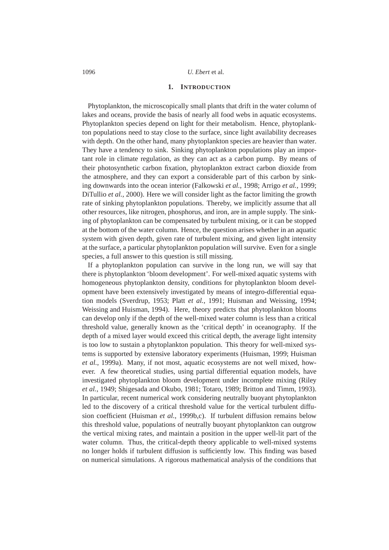#### **1. INTRODUCTION**

Phytoplankton, the microscopically small plants that drift in the water column of lakes and oceans, provide the basis of nearly all food webs in aquatic ecosystems. Phytoplankton species depend on light for their metabolism. Hence, phytoplankton populations need to stay close to the surface, since light availability decreases with depth. On the other hand, many phytoplankton species are heavier than water. They have a tendency to sink. Sinking phytoplankton populations play an important role in climate regulation, as they can act as a carbon pump. By means of their photosynthetic carbon fixation, phytoplankton extract carbon dioxide from the atmosphere, and they can export a considerable part of this carbon by sinking downwards into the ocean interior [\(Falkowski](#page-27-0) *et al.*, [1998;](#page-27-0) [Arrigo](#page-27-1) *et al.*, [1999;](#page-27-1) [DiTullio](#page-27-2) *et al.*, [2000\)](#page-27-2). Here we will consider light as the factor limiting the growth rate of sinking phytoplankton populations. Thereby, we implicitly assume that all other resources, like nitrogen, phosphorus, and iron, are in ample supply. The sinking of phytoplankton can be compensated by turbulent mixing, or it can be stopped at the bottom of the water column. Hence, the question arises whether in an aquatic system with given depth, given rate of turbulent mixing, and given light intensity at the surface, a particular phytoplankton population will survive. Even for a single species, a full answer to this question is still missing.

If a phytoplankton population can survive in the long run, we will say that there is phytoplankton 'bloom development'. For well-mixed aquatic systems with homogeneous phytoplankton density, conditions for phytoplankton bloom development have been extensively investigated by means of integro-differential equation models [\(Sverdrup,](#page-28-0) [1953;](#page-28-0) Platt *[et al.](#page-28-1)*, [1991;](#page-28-1) [Huisman and Weissing,](#page-28-2) [1994;](#page-28-2) [Weissing and Huisman,](#page-29-0) [1994\)](#page-29-0). Here, theory predicts that phytoplankton blooms can develop only if the depth of the well-mixed water column is less than a critical threshold value, generally known as the 'critical depth' in oceanography. If the depth of a mixed layer would exceed this critical depth, the average light intensity is too low to sustain a phytoplankton population. This theory for well-mixed systems is supported by extensive laboratory experiments [\(Huisman,](#page-27-3) [1999;](#page-27-3) [Huisman](#page-28-3) *[et al.](#page-28-3)*, [1999a\)](#page-28-3). Many, if not most, aquatic ecosystems are not well mixed, however. A few theoretical studies, using partial differential equation models, have investigated phytoplankton bloom development under incomplete mixing [\(Riley](#page-28-4) *[et al.](#page-28-4)*, [1949;](#page-28-4) [Shigesada and Okubo,](#page-28-5) [1981;](#page-28-5) [Totaro,](#page-28-6) [1989;](#page-28-6) [Britton and Timm,](#page-27-4) [1993\)](#page-27-4). In particular, recent numerical work considering neutrally buoyant phytoplankton led to the discovery of a critical threshold value for the vertical turbulent diffusion coefficient [\(Huisman](#page-28-7) *et al.*, [1999b](#page-28-7)[,c\)](#page-28-8). If turbulent diffusion remains below this threshold value, populations of neutrally buoyant phytoplankton can outgrow the vertical mixing rates, and maintain a position in the upper well-lit part of the water column. Thus, the critical-depth theory applicable to well-mixed systems no longer holds if turbulent diffusion is sufficiently low. This finding was based on numerical simulations. A rigorous mathematical analysis of the conditions that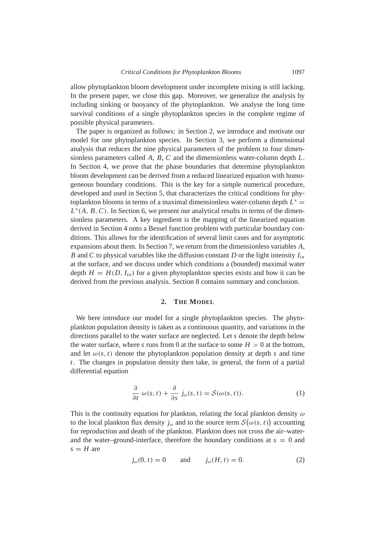allow phytoplankton bloom development under incomplete mixing is still lacking. In the present paper, we close this gap. Moreover, we generalize the analysis by including sinking or buoyancy of the phytoplankton. We analyse the long time survival conditions of a single phytoplankton species in the complete regime of possible physical parameters.

The paper is organized as follows: in Section [2,](#page-2-0) we introduce and motivate our model for one phytoplankton species. In Section [3,](#page-5-0) we perform a dimensional analysis that reduces the nine physical parameters of the problem to four dimensionless parameters called *A*, *B*, *C* and the dimensionless water-column depth *L*. In Section [4,](#page-6-0) we prove that the phase boundaries that determine phytoplankton bloom development can be derived from a reduced linearized equation with homogeneous boundary conditions. This is the key for a simple numerical procedure, developed and used in Section [5,](#page-11-0) that characterizes the critical conditions for phytoplankton blooms in terms of a maximal dimensionless water-column depth  $L^*$  =  $L^*(A, B, C)$ . In Section [6,](#page-13-0) we present our analytical results in terms of the dimensionless parameters. A key ingredient is the mapping of the linearized equation derived in Section [4](#page-6-0) onto a Bessel function problem with particular boundary conditions. This allows for the identification of several limit cases and for asymptotic expansions about them. In Section [7,](#page-17-0) we return from the dimensionless variables *A*, *B* and *C* to physical variables like the diffusion constant *D* or the light intensity *Iin* at the surface, and we discuss under which conditions a (bounded) maximal water depth  $H = H(D, I<sub>in</sub>)$  for a given phytoplankton species exists and how it can be derived from the previous analysis. Section [8](#page-24-0) contains summary and conclusion.

## **2. THE MODEL**

<span id="page-2-0"></span>We here introduce our model for a single phytoplankton species. The phytoplankton population density is taken as a continuous quantity, and variations in the directions parallel to the water surface are neglected. Let *s* denote the depth below the water surface, where *s* runs from 0 at the surface to some  $H > 0$  at the bottom, and let  $\omega(s, t)$  denote the phytoplankton population density at depth *s* and time *t*. The changes in population density then take, in general, the form of a partial differential equation

<span id="page-2-1"></span>
$$
\frac{\partial}{\partial t} \omega(s, t) + \frac{\partial}{\partial s} j_{\omega}(s, t) = \mathcal{S}(\omega(s, t)).
$$
\n(1)

This is the continuity equation for plankton, relating the local plankton density  $\omega$ to the local plankton flux density  $j_{\omega}$  and to the source term  $\mathcal{S}(\omega(s, t))$  accounting for reproduction and death of the plankton. Plankton does not cross the air–waterand the water–ground-interface, therefore the boundary conditions at  $s = 0$  and  $s = H$  are

<span id="page-2-2"></span>
$$
j_{\omega}(0, t) = 0
$$
 and  $j_{\omega}(H, t) = 0.$  (2)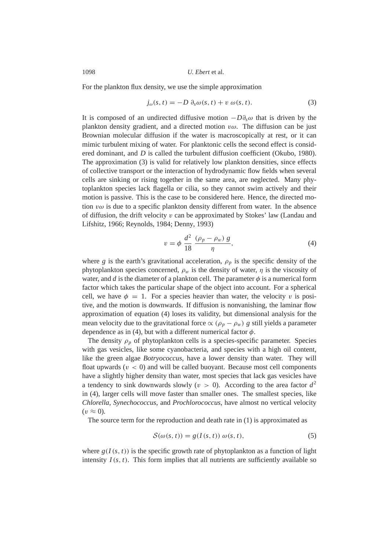For the plankton flux density, we use the simple approximation

<span id="page-3-0"></span>
$$
j_{\omega}(s,t) = -D \partial_s \omega(s,t) + v \omega(s,t). \tag{3}
$$

It is composed of an undirected diffusive motion  $-D\partial_{s}\omega$  that is driven by the plankton density gradient, and a directed motion  $v\omega$ . The diffusion can be just Brownian molecular diffusion if the water is macroscopically at rest, or it can mimic turbulent mixing of water. For planktonic cells the second effect is considered dominant, and *D* is called the turbulent diffusion coefficient [\(Okubo,](#page-28-9) [1980\)](#page-28-9). The approximation [\(3\)](#page-3-0) is valid for relatively low plankton densities, since effects of collective transport or the interaction of hydrodynamic flow fields when several cells are sinking or rising together in the same area, are neglected. Many phytoplankton species lack flagella or cilia, so they cannot swim actively and their motion is passive. This is the case to be considered here. Hence, the directed motion  $v\omega$  is due to a specific plankton density different from water. In the absence of diffusion, the drift velocity v can be approximated by Stokes' law [\(Landau and](#page-28-10) [Lifshitz,](#page-28-10) [1966;](#page-28-10) [Reynolds,](#page-28-11) [1984;](#page-28-11) [Denny,](#page-27-5) [1993\)](#page-27-5)

<span id="page-3-1"></span>
$$
v = \phi \frac{d^2}{18} \frac{(\rho_p - \rho_w) g}{\eta},
$$
\n(4)

where *g* is the earth's gravitational acceleration,  $\rho_p$  is the specific density of the phytoplankton species concerned,  $\rho_w$  is the density of water,  $\eta$  is the viscosity of water, and *d* is the diameter of a plankton cell. The parameter  $\phi$  is a numerical form factor which takes the particular shape of the object into account. For a spherical cell, we have  $\phi = 1$ . For a species heavier than water, the velocity v is positive, and the motion is downwards. If diffusion is nonvanishing, the laminar flow approximation of equation [\(4\)](#page-3-1) loses its validity, but dimensional analysis for the mean velocity due to the gravitational force  $\propto (\rho_p - \rho_w)$  *g* still yields a parameter dependence as in [\(4\)](#page-3-1), but with a different numerical factor  $\phi$ .

The density  $\rho_p$  of phytoplankton cells is a species-specific parameter. Species with gas vesicles, like some cyanobacteria, and species with a high oil content, like the green algae *Botryococcus*, have a lower density than water. They will float upwards  $(v < 0)$  and will be called buoyant. Because most cell components have a slightly higher density than water, most species that lack gas vesicles have a tendency to sink downwards slowly ( $v > 0$ ). According to the area factor  $d^2$ in [\(4\)](#page-3-1), larger cells will move faster than smaller ones. The smallest species, like *Chlorella*, *Synechococcus*, and *Prochlorococcus*, have almost no vertical velocity  $(v \approx 0)$ .

The source term for the reproduction and death rate in [\(1\)](#page-2-1) is approximated as

<span id="page-3-2"></span>
$$
S(\omega(s,t)) = g(I(s,t)) \omega(s,t), \qquad (5)
$$

where  $g(I(s, t))$  is the specific growth rate of phytoplankton as a function of light intensity  $I(s, t)$ . This form implies that all nutrients are sufficiently available so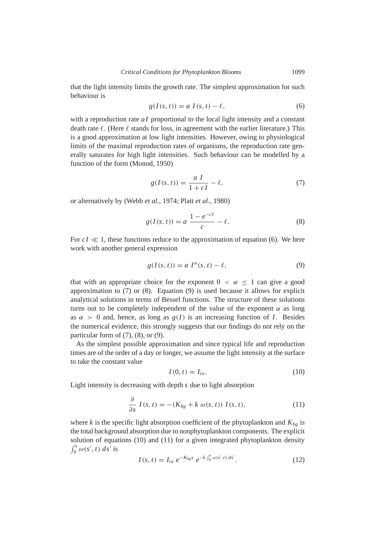that the light intensity limits the growth rate. The simplest approximation for such behaviour is

<span id="page-4-0"></span>
$$
g(I(s,t)) = a I(s,t) - \ell,
$$
\n(6)

with a reproduction rate *aI* proportional to the local light intensity and a constant death rate  $\ell$ . (Here  $\ell$  stands for loss, in agreement with the earlier literature.) This is a good approximation at low light intensities. However, owing to physiological limits of the maximal reproduction rates of organisms, the reproduction rate generally saturates for high light intensities. Such behaviour can be modelled by a function of the form [\(Monod,](#page-28-12) [1950\)](#page-28-12)

<span id="page-4-1"></span>
$$
g(I(s,t)) = \frac{a I}{1 + cI} - \ell,\tag{7}
$$

or alternatively by [\(Webb](#page-29-1) *et al.*, [1974;](#page-29-1) Platt *[et al.](#page-28-13)*, [1980\)](#page-28-13)

<span id="page-4-2"></span>
$$
g(I(s,t)) = a \frac{1 - e^{-cI}}{c} - \ell.
$$
 (8)

For  $cI \ll 1$ , these functions reduce to the approximation of equation [\(6\)](#page-4-0). We here work with another general expression

<span id="page-4-3"></span>
$$
g(I(s,t)) = a I^{\alpha}(s,t) - \ell,
$$
\n(9)

that with an appropriate choice for the exponent  $0 < \alpha \leq 1$  can give a good approximation to [\(7\)](#page-4-1) or [\(8\)](#page-4-2). Equation [\(9\)](#page-4-3) is used because it allows for explicit analytical solutions in terms of Bessel functions. The structure of these solutions turns out to be completely independent of the value of the exponent  $\alpha$  as long as  $\alpha > 0$  and, hence, as long as  $g(I)$  is an increasing function of *I*. Besides the numerical evidence, this strongly suggests that our findings do not rely on the particular form of  $(7)$ ,  $(8)$ , or  $(9)$ .

As the simplest possible approximation and since typical life and reproduction times are of the order of a day or longer, we assume the light intensity at the surface to take the constant value

<span id="page-4-4"></span>
$$
I(0, t) = I_{in}.\tag{10}
$$

Light intensity is decreasing with depth *s* due to light absorption

<span id="page-4-5"></span>
$$
\frac{\partial}{\partial s} I(s, t) = -(K_{bg} + k \omega(s, t)) I(s, t), \qquad (11)
$$

where *k* is the specific light absorption coefficient of the phytoplankton and  $K_{bg}$  is the total background absorption due to nonphytoplankton components. The explicit solution of equations [\(10\)](#page-4-4) and [\(11\)](#page-4-5) for a given integrated phytoplankton density  $\int_0^s \omega(s', t) ds'$  is

$$
I(s,t) = I_{in} e^{-K_{bg} s} e^{-k \int_0^s \omega(s',t) ds'}.
$$
 (12)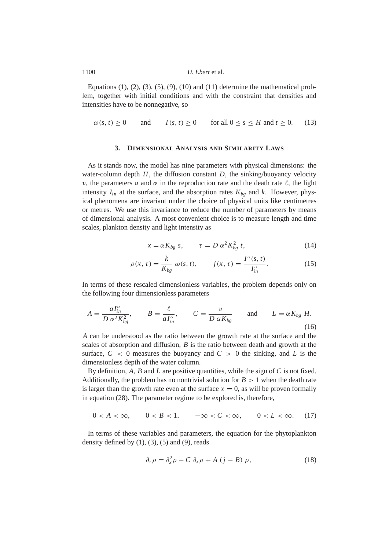Equations  $(1)$ ,  $(2)$ ,  $(3)$ ,  $(5)$ ,  $(9)$ ,  $(10)$  and  $(11)$  determine the mathematical problem, together with initial conditions and with the constraint that densities and intensities have to be nonnegative, so

<span id="page-5-1"></span>
$$
\omega(s, t) \ge 0 \quad \text{and} \quad I(s, t) \ge 0 \quad \text{for all } 0 \le s \le H \text{ and } t \ge 0. \tag{13}
$$

# **3. DIMENSIONAL ANALYSIS AND SIMILARITY LAWS**

<span id="page-5-0"></span>As it stands now, the model has nine parameters with physical dimensions: the water-column depth  $H$ , the diffusion constant  $D$ , the sinking/buoyancy velocity v, the parameters *a* and  $\alpha$  in the reproduction rate and the death rate  $\ell$ , the light intensity  $I_{in}$  at the surface, and the absorption rates  $K_{bg}$  and  $k$ . However, physical phenomena are invariant under the choice of physical units like centimetres or metres. We use this invariance to reduce the number of parameters by means of dimensional analysis. A most convenient choice is to measure length and time scales, plankton density and light intensity as

$$
x = \alpha K_{bg} s, \qquad \tau = D \alpha^2 K_{bg}^2 t,
$$
 (14)

$$
\rho(x,\tau) = \frac{k}{K_{bg}} \omega(s,t), \qquad j(x,\tau) = \frac{I^{\alpha}(s,t)}{I_{in}^{\alpha}}.
$$
\n(15)

In terms of these rescaled dimensionless variables, the problem depends only on the following four dimensionless parameters

<span id="page-5-4"></span>
$$
A = \frac{aI_{in}^{\alpha}}{D \alpha^2 K_{bg}^2}, \qquad B = \frac{\ell}{aI_{in}^{\alpha}}, \qquad C = \frac{v}{D \alpha K_{bg}} \qquad \text{and} \qquad L = \alpha K_{bg} H.
$$
\n(16)

*A* can be understood as the ratio between the growth rate at the surface and the scales of absorption and diffusion, *B* is the ratio between death and growth at the surface,  $C < 0$  measures the buoyancy and  $C > 0$  the sinking, and L is the dimensionless depth of the water column.

By definition, *A*, *B* and *L* are positive quantities, while the sign of *C* is not fixed. Additionally, the problem has no nontrivial solution for  $B > 1$  when the death rate is larger than the growth rate even at the surface  $x = 0$ , as will be proven formally in equation [\(28\)](#page-7-0). The parameter regime to be explored is, therefore,

<span id="page-5-3"></span>
$$
0 < A < \infty, \qquad 0 < B < 1, \qquad -\infty < C < \infty, \qquad 0 < L < \infty. \tag{17}
$$

In terms of these variables and parameters, the equation for the phytoplankton density defined by  $(1)$ ,  $(3)$ ,  $(5)$  and  $(9)$ , reads

<span id="page-5-2"></span>
$$
\partial_{\tau}\rho = \partial_{x}^{2}\rho - C \partial_{x}\rho + A (j - B) \rho, \qquad (18)
$$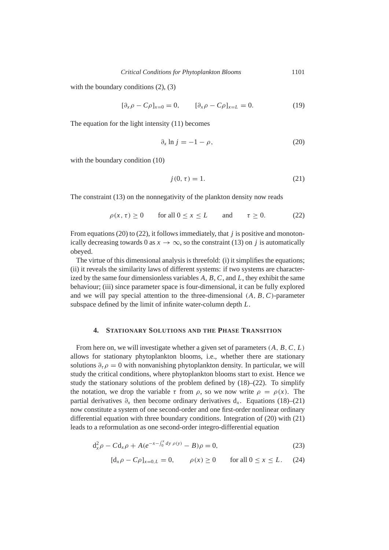with the boundary conditions  $(2)$ ,  $(3)$ 

 $[\partial_x \rho - C\rho]_{x=0} = 0, \qquad [\partial_x \rho - C\rho]_{x=L} = 0.$  (19)

The equation for the light intensity [\(11\)](#page-4-5) becomes

<span id="page-6-1"></span>
$$
\partial_x \ln j = -1 - \rho,\tag{20}
$$

with the boundary condition [\(10\)](#page-4-4)

<span id="page-6-3"></span>
$$
j(0, \tau) = 1. \tag{21}
$$

The constraint [\(13\)](#page-5-1) on the nonnegativity of the plankton density now reads

<span id="page-6-2"></span>
$$
\rho(x,\tau) \ge 0 \qquad \text{for all } 0 \le x \le L \qquad \text{and} \qquad \tau \ge 0. \tag{22}
$$

From equations [\(20\)](#page-6-1) to [\(22\)](#page-6-2), it follows immediately, that *j* is positive and monotonically decreasing towards 0 as  $x \to \infty$ , so the constraint [\(13\)](#page-5-1) on *j* is automatically obeyed.

The virtue of this dimensional analysis is threefold: (i) it simplifies the equations; (ii) it reveals the similarity laws of different systems: if two systems are characterized by the same four dimensionless variables *A*, *B*, *C*, and *L*, they exhibit the same behaviour; (iii) since parameter space is four-dimensional, it can be fully explored and we will pay special attention to the three-dimensional (*A*, *B*,*C*)-parameter subspace defined by the limit of infinite water-column depth *L*.

#### **4. STATIONARY SOLUTIONS AND THE PHASE TRANSITION**

<span id="page-6-0"></span>From here on, we will investigate whether a given set of parameters (*A*, *B*,*C*, *L*) allows for stationary phytoplankton blooms, i.e., whether there are stationary solutions  $\partial_{\tau} \rho = 0$  with nonvanishing phytoplankton density. In particular, we will study the critical conditions, where phytoplankton blooms start to exist. Hence we study the stationary solutions of the problem defined by [\(18\)](#page-5-2)–[\(22\)](#page-6-2). To simplify the notation, we drop the variable  $\tau$  from  $\rho$ , so we now write  $\rho = \rho(x)$ . The partial derivatives  $\partial_x$  then become ordinary derivatives  $d_x$ . Equations [\(18\)](#page-5-2)–[\(21\)](#page-6-3) now constitute a system of one second-order and one first-order nonlinear ordinary differential equation with three boundary conditions. Integration of [\(20\)](#page-6-1) with [\(21\)](#page-6-3) leads to a reformulation as one second-order integro-differential equation

<span id="page-6-4"></span>
$$
d_x^2 \rho - C d_x \rho + A(e^{-x - \int_0^x dy \, \rho(y)} - B)\rho = 0, \tag{23}
$$

$$
[d_x \rho - C\rho]_{x=0,L} = 0
$$
,  $\rho(x) \ge 0$  for all  $0 \le x \le L$ . (24)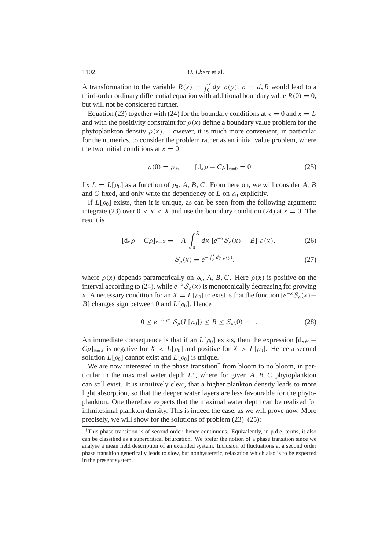A transformation to the variable  $R(x) = \int_0^x dy \, \rho(y)$ ,  $\rho = d_x R$  would lead to a third-order ordinary differential equation with additional boundary value  $R(0) = 0$ , but will not be considered further.

Equation [\(23\)](#page-6-4) together with [\(24\)](#page-6-4) for the boundary conditions at  $x = 0$  and  $x = L$ and with the positivity constraint for  $\rho(x)$  define a boundary value problem for the phytoplankton density  $\rho(x)$ . However, it is much more convenient, in particular for the numerics, to consider the problem rather as an initial value problem, where the two initial conditions at  $x = 0$ 

<span id="page-7-2"></span>
$$
\rho(0) = \rho_0, \qquad [d_x \rho - C\rho]_{x=0} = 0 \tag{25}
$$

fix  $L = L[\rho_0]$  as a function of  $\rho_0$ , A, B, C. From here on, we will consider A, B and *C* fixed, and only write the dependency of *L* on  $\rho_0$  explicitly.

If  $L[\rho_0]$  exists, then it is unique, as can be seen from the following argument: integrate [\(23\)](#page-6-4) over  $0 < x < X$  and use the boundary condition [\(24\)](#page-6-4) at  $x = 0$ . The result is

<span id="page-7-3"></span>
$$
[d_x \rho - C\rho]_{x=X} = -A \int_0^X dx \, [e^{-x} \mathcal{S}_\rho(x) - B] \, \rho(x), \tag{26}
$$

$$
S_{\rho}(x) = e^{-\int_0^x dy \,\rho(y)},\tag{27}
$$

where  $\rho(x)$  depends parametrically on  $\rho_0$ , *A*, *B*, *C*. Here  $\rho(x)$  is positive on the interval according to [\(24\)](#page-6-4), while  $e^{-x}S_\rho(x)$  is monotonically decreasing for growing *x*. A necessary condition for an  $X = L[\rho_0]$  to exist is that the function  $[e^{-x}S_\rho(x) -$ *B*] changes sign between 0 and  $L[\rho_0]$ . Hence

<span id="page-7-0"></span>
$$
0 \le e^{-L[\rho_0]} \mathcal{S}_{\rho}(L[\rho_0]) \le B \le \mathcal{S}_{\rho}(0) = 1. \tag{28}
$$

An immediate consequence is that if an  $L[\rho_0]$  exists, then the expression  $\left[\frac{d_x \rho}{\rho}\right]$  $C_{\rho}$  $|_{x=X}$  is negative for  $X < L[\rho_0]$  and positive for  $X > L[\rho_0]$ . Hence a second solution  $L[\rho_0]$  cannot exist and  $L[\rho_0]$  is unique.

We are now interested in the phase transition<sup>[†](#page-7-1)</sup> from bloom to no bloom, in particular in the maximal water depth  $L^*$ , where for given  $A, B, C$  phytoplankton can still exist. It is intuitively clear, that a higher plankton density leads to more light absorption, so that the deeper water layers are less favourable for the phytoplankton. One therefore expects that the maximal water depth can be realized for infinitesimal plankton density. This is indeed the case, as we will prove now. More precisely, we will show for the solutions of problem [\(23\)](#page-6-4)–[\(25\)](#page-7-2):

<span id="page-7-1"></span><sup>†</sup>This phase transition is of second order, hence continuous. Equivalently, in p.d.e. terms, it also can be classified as a supercritical bifurcation. We prefer the notion of a phase transition since we analyse a mean field description of an extended system. Inclusion of fluctuations at a second order phase transition generically leads to slow, but nonhysteretic, relaxation which also is to be expected in the present system.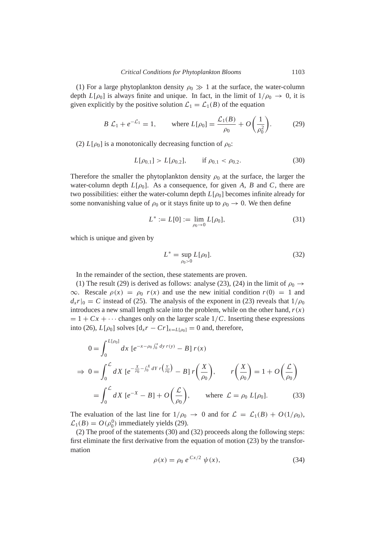(1) For a large phytoplankton density  $\rho_0 \gg 1$  at the surface, the water-column depth  $L[\rho_0]$  is always finite and unique. In fact, in the limit of  $1/\rho_0 \rightarrow 0$ , it is given explicitly by the positive solution  $\mathcal{L}_1 = \mathcal{L}_1(B)$  of the equation

<span id="page-8-0"></span>
$$
B \mathcal{L}_1 + e^{-\mathcal{L}_1} = 1
$$
, where  $L[\rho_0] = \frac{\mathcal{L}_1(B)}{\rho_0} + O\left(\frac{1}{\rho_0^2}\right)$ . (29)

(2)  $L[\rho_0]$  is a monotonically decreasing function of  $\rho_0$ :

<span id="page-8-1"></span>
$$
L[\rho_{0,1}] > L[\rho_{0,2}], \quad \text{if } \rho_{0,1} < \rho_{0,2}.
$$
 (30)

Therefore the smaller the phytoplankton density  $\rho_0$  at the surface, the larger the water-column depth  $L[\rho_0]$ . As a consequence, for given A, B and C, there are two possibilities: either the water-column depth  $L[\rho_0]$  becomes infinite already for some nonvanishing value of  $\rho_0$  or it stays finite up to  $\rho_0 \rightarrow 0$ . We then define

$$
L^* := L[0] := \lim_{\rho_0 \to 0} L[\rho_0], \tag{31}
$$

which is unique and given by

<span id="page-8-2"></span>
$$
L^* = \sup_{\rho_0 > 0} L[\rho_0].
$$
 (32)

In the remainder of the section, these statements are proven.

(1) The result [\(29\)](#page-8-0) is derived as follows: analyse [\(23\)](#page-6-4), [\(24\)](#page-6-4) in the limit of  $\rho_0 \rightarrow$  $\infty$ . Rescale  $\rho(x) = \rho_0 r(x)$  and use the new initial condition  $r(0) = 1$  and  $d_x r|_0 = C$  instead of [\(25\)](#page-7-2). The analysis of the exponent in [\(23\)](#page-6-4) reveals that  $1/\rho_0$ introduces a new small length scale into the problem, while on the other hand,  $r(x)$  $= 1 + Cx + \cdots$  changes only on the larger scale  $1/C$ . Inserting these expressions into [\(26\)](#page-7-3),  $L[\rho_0]$  solves  $[d_x r - Cr]_{x=L[\rho_0]} = 0$  and, therefore,

$$
0 = \int_0^{L[\rho_0]} dx \left[ e^{-x - \rho_0 \int_0^x dy \, r(y)} - B \right] r(x)
$$
  
\n
$$
\Rightarrow 0 = \int_0^L dX \left[ e^{-\frac{X}{\rho_0} - \int_0^x dY} r\left(\frac{y}{\rho_0}\right) - B \right] r\left(\frac{X}{\rho_0}\right), \qquad r\left(\frac{X}{\rho_0}\right) = 1 + O\left(\frac{L}{\rho_0}\right)
$$
  
\n
$$
= \int_0^L dX \left[ e^{-X} - B \right] + O\left(\frac{L}{\rho_0}\right), \qquad \text{where } L = \rho_0 L[\rho_0]. \tag{33}
$$

The evaluation of the last line for  $1/\rho_0 \rightarrow 0$  and for  $\mathcal{L} = \mathcal{L}_1(B) + O(1/\rho_0)$ ,  $\mathcal{L}_1(B) = O(\rho_0^0)$  immediately yields [\(29\)](#page-8-0).

(2) The proof of the statements [\(30\)](#page-8-1) and [\(32\)](#page-8-2) proceeds along the following steps: first eliminate the first derivative from the equation of motion [\(23\)](#page-6-4) by the transformation

<span id="page-8-3"></span>
$$
\rho(x) = \rho_0 \ e^{\ Cx/2} \ \psi(x), \tag{34}
$$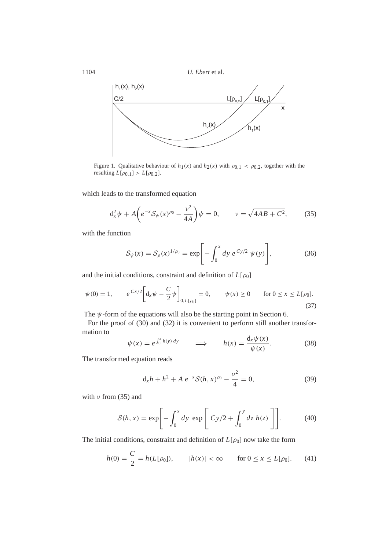

<span id="page-9-3"></span>Figure 1. Qualitative behaviour of  $h_1(x)$  and  $h_2(x)$  with  $\rho_{0,1} < \rho_{0,2}$ , together with the resulting  $L[\rho_{0,1}] > L[\rho_{0,2}].$ 

which leads to the transformed equation

<span id="page-9-0"></span>
$$
d_x^2 \psi + A \left( e^{-x} \mathcal{S}_{\psi}(x)^{\rho_0} - \frac{\nu^2}{4A} \right) \psi = 0, \qquad \nu = \sqrt{4AB + C^2}, \tag{35}
$$

with the function

<span id="page-9-5"></span>
$$
S_{\psi}(x) = S_{\rho}(x)^{1/\rho_0} = \exp\bigg[-\int_0^x dy \ e^{Cy/2} \ \psi(y)\bigg],\tag{36}
$$

and the initial conditions, constraint and definition of  $L[\rho_0]$ 

<span id="page-9-6"></span>
$$
\psi(0) = 1, \qquad e^{Cx/2} \bigg[ d_x \psi - \frac{C}{2} \psi \bigg]_{0, L[\rho_0]} = 0, \qquad \psi(x) \ge 0 \qquad \text{for } 0 \le x \le L[\rho_0].
$$
\n(37)

The  $\psi$ -form of the equations will also be the starting point in Section [6.](#page-13-0)

For the proof of [\(30\)](#page-8-1) and [\(32\)](#page-8-2) it is convenient to perform still another transformation to

$$
\psi(x) = e^{\int_0^x h(y) \, dy} \qquad \Longrightarrow \qquad h(x) = \frac{d_x \psi(x)}{\psi(x)}.
$$
\n(38)

The transformed equation reads

<span id="page-9-1"></span>
$$
d_x h + h^2 + A e^{-x} S(h, x)^{\rho_0} - \frac{\nu^2}{4} = 0,
$$
 (39)

with  $\nu$  from [\(35\)](#page-9-0) and

<span id="page-9-4"></span>
$$
S(h, x) = \exp\left[-\int_0^x dy \exp\left[ Cy/2 + \int_0^y dz \ h(z) \right] \right].
$$
 (40)

The initial conditions, constraint and definition of  $L[\rho_0]$  now take the form

<span id="page-9-2"></span>
$$
h(0) = \frac{C}{2} = h(L[\rho_0]), \qquad |h(x)| < \infty \qquad \text{for } 0 \le x \le L[\rho_0]. \tag{41}
$$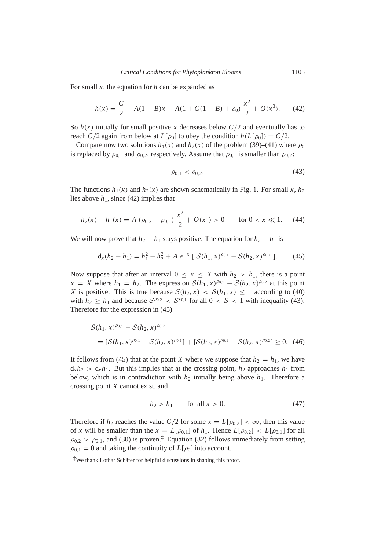For small *x*, the equation for *h* can be expanded as

<span id="page-10-0"></span>
$$
h(x) = \frac{C}{2} - A(1 - B)x + A(1 + C(1 - B) + \rho_0) \frac{x^2}{2} + O(x^3).
$$
 (42)

So  $h(x)$  initially for small positive *x* decreases below  $C/2$  and eventually has to reach *C*/2 again from below at *L*[ $\rho_0$ ] to obey the condition  $h(L[\rho_0]) = C/2$ .

Compare now two solutions  $h_1(x)$  and  $h_2(x)$  of the problem [\(39\)](#page-9-1)–[\(41\)](#page-9-2) where  $\rho_0$ is replaced by  $\rho_{0,1}$  and  $\rho_{0,2}$ , respectively. Assume that  $\rho_{0,1}$  is smaller than  $\rho_{0,2}$ :

<span id="page-10-1"></span>
$$
\rho_{0,1} < \rho_{0,2}.\tag{43}
$$

The functions  $h_1(x)$  and  $h_2(x)$  are shown schematically in Fig. [1.](#page-9-3) For small *x*,  $h_2$ lies above  $h_1$ , since [\(42\)](#page-10-0) implies that

$$
h_2(x) - h_1(x) = A \left( \rho_{0,2} - \rho_{0,1} \right) \frac{x^2}{2} + O(x^3) > 0 \quad \text{for } 0 < x \ll 1. \tag{44}
$$

We will now prove that  $h_2 - h_1$  stays positive. The equation for  $h_2 - h_1$  is

<span id="page-10-2"></span>
$$
d_x(h_2 - h_1) = h_1^2 - h_2^2 + A e^{-x} [S(h_1, x)^{\rho_{0,1}} - S(h_2, x)^{\rho_{0,2}}].
$$
 (45)

Now suppose that after an interval  $0 \le x \le X$  with  $h_2 > h_1$ , there is a point  $x = X$  where  $h_1 = h_2$ . The expression  $S(h_1, x)^{\rho_{0,1}} - S(h_2, x)^{\rho_{0,2}}$  at this point *X* is positive. This is true because  $S(h_2, x) < S(h_1, x) \le 1$  according to [\(40\)](#page-9-4) with  $h_2 \geq h_1$  and because  $S^{\rho_{0,2}} < S^{\rho_{0,1}}$  for all  $0 < S < 1$  with inequality [\(43\)](#page-10-1). Therefore for the expression in [\(45\)](#page-10-2)

$$
S(h_1, x)^{\rho_{0,1}} - S(h_2, x)^{\rho_{0,2}}
$$
  
=  $[S(h_1, x)^{\rho_{0,1}} - S(h_2, x)^{\rho_{0,1}}] + [S(h_2, x)^{\rho_{0,1}} - S(h_2, x)^{\rho_{0,2}}] \ge 0.$  (46)

It follows from [\(45\)](#page-10-2) that at the point *X* where we suppose that  $h_2 = h_1$ , we have  $d_x h_2 > d_x h_1$ . But this implies that at the crossing point,  $h_2$  approaches  $h_1$  from below, which is in contradiction with  $h_2$  initially being above  $h_1$ . Therefore a crossing point *X* cannot exist, and

$$
h_2 > h_1 \qquad \text{for all } x > 0. \tag{47}
$$

Therefore if  $h_2$  reaches the value  $C/2$  for some  $x = L[\rho_{0,2}] < \infty$ , then this value of *x* will be smaller than the  $x = L[\rho_{0,1}]$  of  $h_1$ . Hence  $L[\rho_{0,2}] < L[\rho_{0,1}]$  for all  $\rho_{0,2} > \rho_{0,1}$ , and [\(30\)](#page-8-1) is proven.<sup>[‡](#page-10-3)</sup> Equation [\(32\)](#page-8-2) follows immediately from setting  $\rho_{0,1} = 0$  and taking the continuity of  $L[\rho_0]$  into account.

<span id="page-10-3"></span> $*$ We thank Lothar Schäfer for helpful discussions in shaping this proof.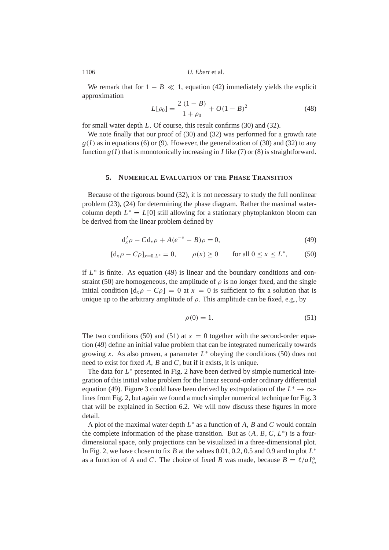We remark that for  $1 - B \ll 1$ , equation [\(42\)](#page-10-0) immediately yields the explicit approximation

<span id="page-11-3"></span>
$$
L[\rho_0] = \frac{2(1-B)}{1+\rho_0} + O(1-B)^2
$$
 (48)

for small water depth *L*. Of course, this result confirms [\(30\)](#page-8-1) and [\(32\)](#page-8-2).

We note finally that our proof of [\(30\)](#page-8-1) and [\(32\)](#page-8-2) was performed for a growth rate  $g(I)$  as in equations [\(6\)](#page-4-0) or [\(9\)](#page-4-3). However, the generalization of [\(30\)](#page-8-1) and [\(32\)](#page-8-2) to any function  $g(I)$  that is monotonically increasing in *I* like [\(7\)](#page-4-1) or [\(8\)](#page-4-2) is straightforward.

#### **5. NUMERICAL EVALUATION OF THE PHASE TRANSITION**

<span id="page-11-0"></span>Because of the rigorous bound [\(32\)](#page-8-2), it is not necessary to study the full nonlinear problem [\(23\)](#page-6-4), [\(24\)](#page-6-4) for determining the phase diagram. Rather the maximal watercolumn depth  $L^* = L[0]$  still allowing for a stationary phytoplankton bloom can be derived from the linear problem defined by

<span id="page-11-1"></span>
$$
d_x^2 \rho - C d_x \rho + A(e^{-x} - B)\rho = 0, \tag{49}
$$

$$
[d_x \rho - C\rho]_{x=0, L^*} = 0, \qquad \rho(x) \ge 0 \qquad \text{for all } 0 \le x \le L^*, \tag{50}
$$

if  $L^*$  is finite. As equation [\(49\)](#page-11-1) is linear and the boundary conditions and con-straint [\(50\)](#page-11-1) are homogeneous, the amplitude of  $\rho$  is no longer fixed, and the single initial condition  $[d_x \rho - C\rho] = 0$  at  $x = 0$  is sufficient to fix a solution that is unique up to the arbitrary amplitude of  $\rho$ . This amplitude can be fixed, e.g., by

<span id="page-11-2"></span>
$$
\rho(0) = 1. \tag{51}
$$

The two conditions [\(50\)](#page-11-1) and [\(51\)](#page-11-2) at  $x = 0$  together with the second-order equation [\(49\)](#page-11-1) define an initial value problem that can be integrated numerically towards growing *x*. As also proven, a parameter  $L^*$  obeying the conditions [\(50\)](#page-11-1) does not need to exist for fixed *A*, *B* and *C*, but if it exists, it is unique.

The data for  $L^*$  presented in Fig. [2](#page-12-0) have been derived by simple numerical integration of this initial value problem for the linear second-order ordinary differential equation [\(49\)](#page-11-1). Figure [3](#page-13-1) could have been derived by extrapolation of the  $L^* \to \infty$ lines from Fig. [2,](#page-12-0) but again we found a much simpler numerical technique for Fig. [3](#page-13-1) that will be explained in Section [6.2.](#page-15-0) We will now discuss these figures in more detail.

A plot of the maximal water depth *L* ∗ as a function of *A*, *B* and *C* would contain the complete information of the phase transition. But as  $(A, B, C, L^*)$  is a fourdimensional space, only projections can be visualized in a three-dimensional plot. In Fig. [2,](#page-12-0) we have chosen to fix *B* at the values 0.01, 0.2, 0.5 and 0.9 and to plot  $L^*$ as a function of *A* and *C*. The choice of fixed *B* was made, because  $B = \ell/aI_{in}^{\alpha}$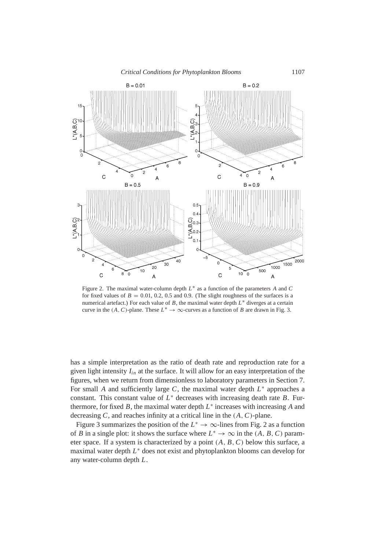

<span id="page-12-0"></span>Figure 2. The maximal water-column depth *L* ∗ as a function of the parameters *A* and *C* for fixed values of  $B = 0.01, 0.2, 0.5$  and 0.9. (The slight roughness of the surfaces is a numerical artefact.) For each value of *B*, the maximal water depth *L* <sup>∗</sup> diverges at a certain curve in the  $(A, C)$ -plane. These  $L^* \to \infty$ -curves as a function of *B* are drawn in Fig. [3.](#page-13-1)

has a simple interpretation as the ratio of death rate and reproduction rate for a given light intensity *Iin* at the surface. It will allow for an easy interpretation of the figures, when we return from dimensionless to laboratory parameters in Section [7.](#page-17-0) For small *A* and sufficiently large *C*, the maximal water depth  $L^*$  approaches a constant. This constant value of  $L^*$  decreases with increasing death rate *B*. Furthermore, for fixed  $B$ , the maximal water depth  $L^*$  increases with increasing  $A$  and decreasing *C*, and reaches infinity at a critical line in the (*A*,*C*)-plane.

Figure [3](#page-13-1) summarizes the position of the  $L^* \to \infty$ -lines from Fig. [2](#page-12-0) as a function of *B* in a single plot: it shows the surface where  $L^* \to \infty$  in the  $(A, B, C)$  parameter space. If a system is characterized by a point (*A*, *B*,*C*) below this surface, a maximal water depth *L*<sup>∗</sup> does not exist and phytoplankton blooms can develop for any water-column depth *L*.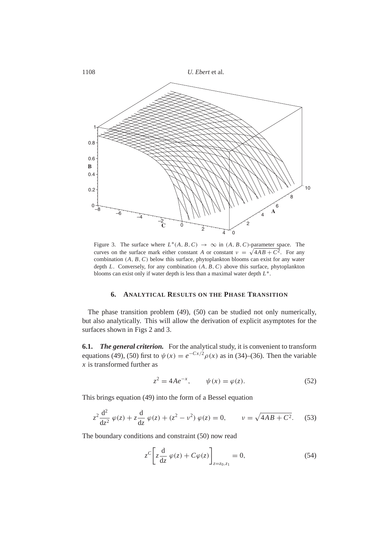

<span id="page-13-1"></span>Figure 3. The surface where  $L^*(A, B, C) \to \infty$  in  $(A, B, C)$ -parameter space. The curves on the surface mark either constant *A* or constant  $\nu = \sqrt{4AB + C^2}$ . For any combination (*A*, *B*,*C*) below this surface, phytoplankton blooms can exist for any water depth *L*. Conversely, for any combination (*A*, *B*,*C*) above this surface, phytoplankton blooms can exist only if water depth is less than a maximal water depth *L* ∗ .

#### **6. ANALYTICAL RESULTS ON THE PHASE TRANSITION**

<span id="page-13-0"></span>The phase transition problem [\(49\)](#page-11-1), [\(50\)](#page-11-1) can be studied not only numerically, but also analytically. This will allow the derivation of explicit asymptotes for the surfaces shown in Figs [2](#page-12-0) and [3.](#page-13-1)

**6.1.** *The general criterion.* For the analytical study, it is convenient to transform equations [\(49\)](#page-11-1), [\(50\)](#page-11-1) first to  $\psi(x) = e^{-Cx/2} \rho(x)$  as in [\(34\)](#page-8-3)–[\(36\)](#page-9-5). Then the variable *x* is transformed further as

<span id="page-13-4"></span>
$$
z^{2} = 4Ae^{-x}, \qquad \psi(x) = \varphi(z). \tag{52}
$$

This brings equation [\(49\)](#page-11-1) into the form of a Bessel equation

<span id="page-13-2"></span>
$$
z^{2} \frac{d^{2}}{dz^{2}} \varphi(z) + z \frac{d}{dz} \varphi(z) + (z^{2} - \nu^{2}) \varphi(z) = 0, \qquad \nu = \sqrt{4AB + C^{2}}.
$$
 (53)

The boundary conditions and constraint [\(50\)](#page-11-1) now read

<span id="page-13-3"></span>
$$
z^{C}\left[z\frac{\mathrm{d}}{\mathrm{d}z}\varphi(z)+C\varphi(z)\right]_{z=z_{0},z_{1}}=0,\tag{54}
$$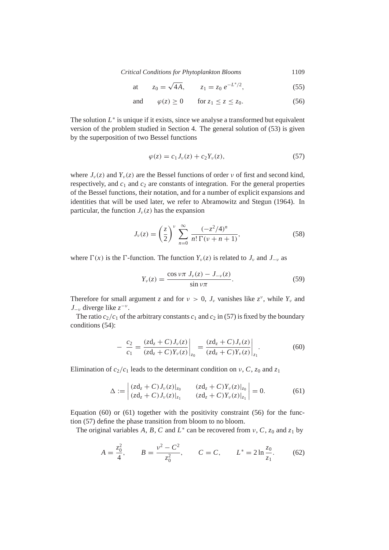*Critical Conditions for Phytoplankton Blooms* 1109

at 
$$
z_0 = \sqrt{4A}
$$
,  $z_1 = z_0 e^{-L^*/2}$ , (55)

and 
$$
\varphi(z) \ge 0
$$
 for  $z_1 \le z \le z_0$ . (56)

The solution  $L^*$  is unique if it exists, since we analyse a transformed but equivalent version of the problem studied in Section [4.](#page-6-0) The general solution of [\(53\)](#page-13-2) is given by the superposition of two Bessel functions

<span id="page-14-0"></span>
$$
\varphi(z) = c_1 J_\nu(z) + c_2 Y_\nu(z), \tag{57}
$$

where  $J_{\nu}(z)$  and  $Y_{\nu}(z)$  are the Bessel functions of order  $\nu$  of first and second kind, respectively, and  $c_1$  and  $c_2$  are constants of integration. For the general properties of the Bessel functions, their notation, and for a number of explicit expansions and identities that will be used later, we refer to [Abramowitz and Stegun](#page-27-6) [\(1964\)](#page-27-6). In particular, the function  $J_{\nu}(z)$  has the expansion

<span id="page-14-3"></span>
$$
J_{\nu}(z) = \left(\frac{z}{2}\right)^{\nu} \sum_{n=0}^{\infty} \frac{(-z^2/4)^n}{n!\,\Gamma(\nu+n+1)},
$$
\n(58)

where  $\Gamma(x)$  is the  $\Gamma$ -function. The function  $Y_{\nu}(z)$  is related to  $J_{\nu}$  and  $J_{-\nu}$  as

<span id="page-14-5"></span>
$$
Y_{\nu}(z) = \frac{\cos \nu \pi \, J_{\nu}(z) - J_{-\nu}(z)}{\sin \nu \pi}.
$$
 (59)

Therefore for small argument *z* and for  $v > 0$ ,  $J_v$  vanishes like  $z^v$ , while  $Y_v$  and  $J_{-\nu}$  diverge like  $z^{-\nu}$ .

The ratio  $c_2/c_1$  of the arbitrary constants  $c_1$  and  $c_2$  in [\(57\)](#page-14-0) is fixed by the boundary conditions [\(54\)](#page-13-3):

<span id="page-14-1"></span>
$$
- \frac{c_2}{c_1} = \frac{(zd_z + C)J_\nu(z)}{(zd_z + C)Y_\nu(z)}\bigg|_{z_0} = \frac{(zd_z + C)J_\nu(z)}{(zd_z + C)Y_\nu(z)}\bigg|_{z_1}.
$$
(60)

Elimination of  $c_2/c_1$  leads to the determinant condition on  $\nu$ , *C*,  $z_0$  and  $z_1$ 

<span id="page-14-2"></span>
$$
\Delta := \begin{vmatrix} (zd_z + C)J_{\nu}(z)|_{z_0} & (zd_z + C)Y_{\nu}(z)|_{z_0} \\ (zd_z + C)J_{\nu}(z)|_{z_1} & (zd_z + C)Y_{\nu}(z)|_{z_1} \end{vmatrix} = 0.
$$
 (61)

Equation  $(60)$  or  $(61)$  together with the positivity constraint  $(56)$  for the function [\(57\)](#page-14-0) define the phase transition from bloom to no bloom.

The original variables A, B, C and  $L^*$  can be recovered from  $v$ , C,  $z_0$  and  $z_1$  by

<span id="page-14-4"></span>
$$
A = \frac{z_0^2}{4}, \qquad B = \frac{v^2 - C^2}{z_0^2}, \qquad C = C, \qquad L^* = 2 \ln \frac{z_0}{z_1}.
$$
 (62)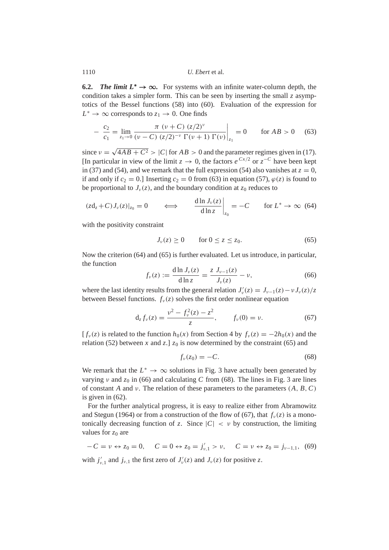<span id="page-15-0"></span>**6.2.** *The limit*  $L^* \to \infty$ . For systems with an infinite water-column depth, the condition takes a simpler form. This can be seen by inserting the small *z* asymptotics of the Bessel functions [\(58\)](#page-14-3) into [\(60\)](#page-14-1). Evaluation of the expression for  $L^* \to \infty$  corresponds to  $z_1 \to 0$ . One finds

<span id="page-15-1"></span>
$$
-\frac{c_2}{c_1} = \lim_{z_1 \to 0} \frac{\pi (\nu + C) (z/2)^{\nu}}{(\nu - C) (z/2)^{-\nu} \Gamma(\nu + 1) \Gamma(\nu)} \bigg|_{z_1} = 0 \quad \text{for } AB > 0 \quad (63)
$$

since  $v =$  $4AB + C^2 > |C|$  for  $AB > 0$  and the parameter regimes given in [\(17\)](#page-5-3). [In particular in view of the limit  $z \to 0$ , the factors  $e^{Cx/2}$  or  $z^{-C}$  have been kept in [\(37\)](#page-9-6) and [\(54\)](#page-13-3), and we remark that the full expression [\(54\)](#page-13-3) also vanishes at  $z = 0$ , if and only if  $c_2 = 0$ .] Inserting  $c_2 = 0$  from [\(63\)](#page-15-1) in equation [\(57\)](#page-14-0),  $\varphi(z)$  is found to be proportional to  $J_{\nu}(z)$ , and the boundary condition at  $z_0$  reduces to

<span id="page-15-2"></span>
$$
(z\mathrm{d}_z + C)J_\nu(z)|_{z_0} = 0 \qquad \Longleftrightarrow \qquad \frac{\mathrm{d}\ln J_\nu(z)}{\mathrm{d}\ln z}\bigg|_{z_0} = -C \qquad \text{for } L^* \to \infty \tag{64}
$$

with the positivity constraint

<span id="page-15-3"></span>
$$
J_{\nu}(z) \ge 0 \qquad \text{for } 0 \le z \le z_0. \tag{65}
$$

Now the criterion [\(64\)](#page-15-2) and [\(65\)](#page-15-3) is further evaluated. Let us introduce, in particular, the function

<span id="page-15-4"></span>
$$
f_{\nu}(z) := \frac{\mathrm{d} \ln J_{\nu}(z)}{\mathrm{d} \ln z} = \frac{z J_{\nu-1}(z)}{J_{\nu}(z)} - \nu,
$$
 (66)

where the last identity results from the general relation  $J'_v(z) = J_{v-1}(z) - vJ_v(z)/z$ between Bessel functions.  $f_{\nu}(z)$  solves the first order nonlinear equation

<span id="page-15-6"></span>
$$
d_z f_\nu(z) = \frac{\nu^2 - f_\nu^2(z) - z^2}{z}, \qquad f_\nu(0) = \nu. \tag{67}
$$

 $[f_v(z)]$  is related to the function  $h_0(x)$  from Section [4](#page-6-0) by  $f_v(z) = -2h_0(x)$  and the relation [\(52\)](#page-13-4) between *x* and *z*.]  $z_0$  is now determined by the constraint [\(65\)](#page-15-3) and

<span id="page-15-5"></span>
$$
f_{\nu}(z_0) = -C.\tag{68}
$$

We remark that the  $L^* \to \infty$  solutions in Fig. [3](#page-13-1) have actually been generated by varying  $\nu$  and  $z_0$  in [\(66\)](#page-15-4) and calculating *C* from [\(68\)](#page-15-5). The lines in Fig. [3](#page-13-1) are lines of constant *A* and ν. The relation of these parameters to the parameters (*A*, *B*,*C*) is given in [\(62\)](#page-14-4).

For the further analytical progress, it is easy to realize either from [Abramowitz](#page-27-6) [and Stegun](#page-27-6) [\(1964\)](#page-27-6) or from a construction of the flow of [\(67\)](#page-15-6), that  $f_v(z)$  is a monotonically decreasing function of *z*. Since  $|C| < v$  by construction, the limiting values for  $z_0$  are

<span id="page-15-7"></span>
$$
-C = \nu \leftrightarrow z_0 = 0, \quad C = 0 \leftrightarrow z_0 = j'_{\nu,1} > \nu, \quad C = \nu \leftrightarrow z_0 = j_{\nu-1,1}, \tag{69}
$$

with  $j'_{\nu,1}$  and  $j_{\nu,1}$  the first zero of  $J'_{\nu}(z)$  and  $J_{\nu}(z)$  for positive *z*.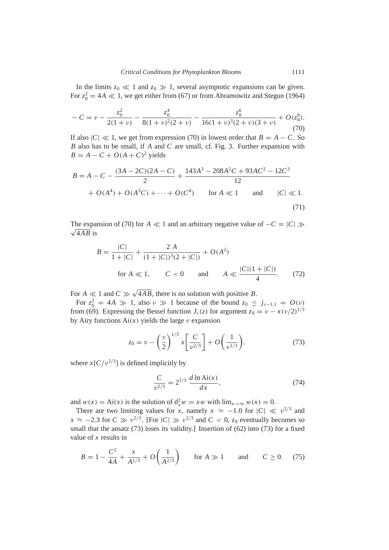In the limits  $z_0 \ll 1$  and  $z_0 \gg 1$ , several asymptotic expansions can be given. For  $z_0^2 = 4A \ll 1$ , we get either from [\(67\)](#page-15-6) or from [Abramowitz and Stegun](#page-27-6) [\(1964\)](#page-27-6)

<span id="page-16-0"></span>
$$
-C = \nu - \frac{z_0^2}{2(1+\nu)} - \frac{z_0^4}{8(1+\nu)^2(2+\nu)} - \frac{z_0^6}{16(1+\nu)^3(2+\nu)(3+\nu)} + O(z_0^8).
$$
\n(70)

If also  $|C| \ll 1$ , we get from expression [\(70\)](#page-16-0) in lowest order that  $B = A - C$ . So *B* also has to be small, if *A* and *C* are small, cf. Fig. [3.](#page-13-1) Further expansion with  $B = A - C + O(A + C)^2$  yields

<span id="page-16-2"></span>
$$
B = A - C - \frac{(3A - 2C)(2A - C)}{2} + \frac{143A^3 - 208A^2C + 93AC^2 - 12C^3}{12}
$$
  
+  $O(A^4) + O(A^3C) + \dots + O(C^4)$  for  $A \ll 1$  and  $|C| \ll 1$ . (71)

The expansion of [\(70\)](#page-16-0) for *A*  $\ll$  1 and an arbitrary negative value of  $-C = |C| \gg$  $\sqrt{4AB}$  is

<span id="page-16-3"></span>
$$
B = \frac{|C|}{1+|C|} + \frac{2A}{(1+|C|)^3(2+|C|)} + O(A^2)
$$
  
for  $A \ll 1$ ,  $C < 0$  and  $A \ll \frac{|C|(1+|C|)}{4}$ . (72)

For  $A \ll 1$  and  $C \gg$ √ 4*AB*, there is no solution with positive *B*.

For  $z_0^2 = 4A \gg 1$ , also  $\nu \gg 1$  because of the bound  $z_0 \leq j_{\nu-1,1} = O(\nu)$ from [\(69\)](#page-15-7). Expressing the Bessel function  $J_\nu(z)$  for argument  $z_0 = \nu - x(\nu/2)^{1/3}$ by Airy functions  $Ai(x)$  yields the large  $\nu$  expansion

<span id="page-16-1"></span>
$$
z_0 = \nu - \left(\frac{\nu}{2}\right)^{1/3} x \left[\frac{C}{\nu^{2/3}}\right] + O\left(\frac{1}{\nu^{1/3}}\right),\tag{73}
$$

where  $x[C/v^{2/3}]$  is defined implicitly by

$$
\frac{C}{v^{2/3}} = 2^{1/3} \frac{d \ln \text{Ai}(x)}{dx},\tag{74}
$$

and  $w(x) = Ai(x)$  is the solution of  $d_x^2 w = xw$  with  $\lim_{x \to \infty} w(x) = 0$ .

There are two limiting values for *x*, namely  $x \approx -1.0$  for  $|C| \ll v^{2/3}$  and  $x \approx -2.3$  for  $C \gg v^{2/3}$ . [For  $|C| \gg v^{2/3}$  and  $C < 0$ ,  $z_0$  eventually becomes so small that the ansatz [\(73\)](#page-16-1) loses its validity.] Insertion of [\(62\)](#page-14-4) into [\(73\)](#page-16-1) for a fixed value of *x* results in

<span id="page-16-4"></span>
$$
B = 1 - \frac{C^2}{4A} + \frac{x}{A^{1/3}} + O\left(\frac{1}{A^{2/3}}\right) \quad \text{for } A \gg 1 \quad \text{and} \quad C \ge 0. \tag{75}
$$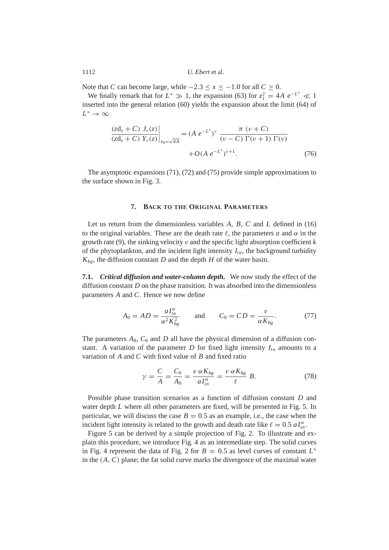Note that *C* can become large, while  $-2.3 \le x \le -1.0$  for all  $C \ge 0$ .

We finally remark that for  $L^* \gg 1$ , the expansion [\(63\)](#page-15-1) for  $z_1^2 = 4A e^{-L^*} \ll 1$ inserted into the general relation [\(60\)](#page-14-1) yields the expansion about the limit [\(64\)](#page-15-2) of  $L^* \to \infty$ 

$$
\frac{(zd_z + C) J_{\nu}(z)}{(zd_z + C) Y_{\nu}(z)}\Big|_{z_0 = \sqrt{4A}} = (A e^{-L^*})^{\nu} \frac{\pi (\nu + C)}{(\nu - C) \Gamma(\nu + 1) \Gamma(\nu)} + O(A e^{-L^*})^{\nu + 1}.
$$
 (76)

The asymptotic expansions [\(71\)](#page-16-2), [\(72\)](#page-16-3) and [\(75\)](#page-16-4) provide simple approximations to the surface shown in Fig. [3.](#page-13-1)

# **7. BACK TO THE ORIGINAL PARAMETERS**

<span id="page-17-0"></span>Let us return from the dimensionless variables *A*, *B*, *C* and *L* defined in [\(16\)](#page-5-4) to the original variables. These are the death rate  $\ell$ , the parameters *a* and  $\alpha$  in the growth rate [\(9\)](#page-4-3), the sinking velocity v and the specific light absorption coefficient *k* of the phytoplankton, and the incident light intensity *Iin*, the background turbidity  $K_{bg}$ , the diffusion constant *D* and the depth *H* of the water basin.

**7.1.** *Critical diffusion and water-column depth.* We now study the effect of the diffusion constant *D* on the phase transition. It was absorbed into the dimensionless parameters *A* and *C*. Hence we now define

$$
A_0 = AD = \frac{aI_{in}^{\alpha}}{\alpha^2 K_{bg}^2} \quad \text{and} \quad C_0 = CD = \frac{v}{\alpha K_{bg}}. \quad (77)
$$

The parameters  $A_0$ ,  $C_0$  and  $D$  all have the physical dimension of a diffusion constant. A variation of the parameter  $D$  for fixed light intensity  $I_{in}$  amounts to a variation of *A* and *C* with fixed value of *B* and fixed ratio

$$
\gamma = \frac{C}{A} = \frac{C_0}{A_0} = \frac{v \alpha K_{bg}}{a I_{in}^{\alpha}} = \frac{v \alpha K_{bg}}{\ell} B.
$$
 (78)

Possible phase transition scenarios as a function of diffusion constant *D* and water depth *L* where all other parameters are fixed, will be presented in Fig. [5.](#page-19-0) In particular, we will discuss the case  $B = 0.5$  as an example, i.e., the case when the incident light intensity is related to the growth and death rate like  $\ell = 0.5$   $aI_{in}^{\alpha}$ .

Figure [5](#page-19-0) can be derived by a simple projection of Fig. [2.](#page-12-0) To illustrate and explain this procedure, we introduce Fig. [4](#page-18-0) as an intermediate step. The solid curves in Fig. [4](#page-18-0) represent the data of Fig. [2](#page-12-0) for  $B = 0.5$  as level curves of constant  $L^*$ in the (*A*,*C*) plane; the fat solid curve marks the divergence of the maximal water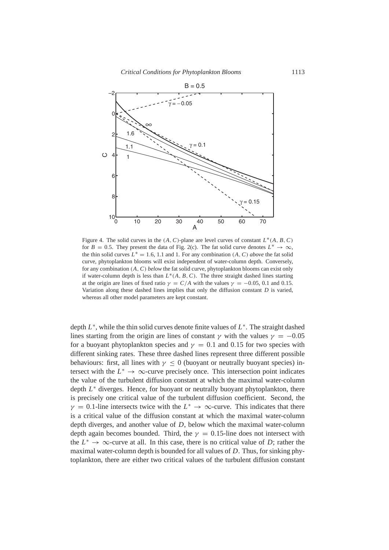

<span id="page-18-0"></span>Figure 4. The solid curves in the  $(A, C)$ -plane are level curves of constant  $L^*(A, B, C)$ for  $B = 0.5$ . They present the data of Fig. [2\(](#page-12-0)c). The fat solid curve denotes  $L^* \to \infty$ , the thin solid curves  $L^* = 1.6, 1.1$  and 1. For any combination  $(A, C)$  *above* the fat solid curve, phytoplankton blooms will exist independent of water-column depth. Conversely, for any combination (*A*,*C*) *below* the fat solid curve, phytoplankton blooms can exist only if water-column depth is less than  $L^*(A, B, C)$ . The three straight dashed lines starting at the origin are lines of fixed ratio  $\gamma = C/A$  with the values  $\gamma = -0.05, 0.1$  and 0.15. Variation along these dashed lines implies that only the diffusion constant *D* is varied, whereas all other model parameters are kept constant.

depth *L* ∗ , while the thin solid curves denote finite values of *L* ∗ . The straight dashed lines starting from the origin are lines of constant  $\gamma$  with the values  $\gamma = -0.05$ for a buoyant phytoplankton species and  $\gamma = 0.1$  and 0.15 for two species with different sinking rates. These three dashed lines represent three different possible behaviours: first, all lines with  $\gamma \leq 0$  (buoyant or neutrally buoyant species) intersect with the  $L^* \to \infty$ -curve precisely once. This intersection point indicates the value of the turbulent diffusion constant at which the maximal water-column depth *L* <sup>∗</sup> diverges. Hence, for buoyant or neutrally buoyant phytoplankton, there is precisely one critical value of the turbulent diffusion coefficient. Second, the  $\gamma = 0.1$ -line intersects twice with the  $L^* \to \infty$ -curve. This indicates that there is a critical value of the diffusion constant at which the maximal water-column depth diverges, and another value of *D*, below which the maximal water-column depth again becomes bounded. Third, the  $\gamma = 0.15$ -line does not intersect with the  $L^* \to \infty$ -curve at all. In this case, there is no critical value of *D*; rather the maximal water-column depth is bounded for all values of *D*. Thus, for sinking phytoplankton, there are either two critical values of the turbulent diffusion constant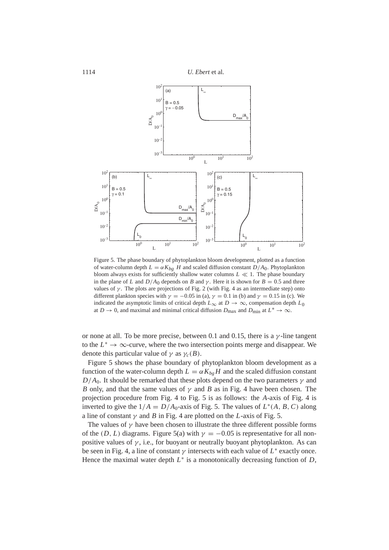

<span id="page-19-0"></span>Figure 5. The phase boundary of phytoplankton bloom development, plotted as a function of water-column depth  $L = \alpha K_{bg}$  *H* and scaled diffusion constant  $D/A_0$ . Phytoplankton bloom always exists for sufficiently shallow water columns  $L \ll 1$ . The phase boundary in the plane of *L* and  $D/A<sub>0</sub>$  depends on *B* and  $\gamma$ . Here it is shown for  $B = 0.5$  and three values of  $\gamma$ . The plots are projections of Fig. [2](#page-12-0) (with Fig. [4](#page-18-0) as an intermediate step) onto different plankton species with  $\gamma = -0.05$  in (a),  $\gamma = 0.1$  in (b) and  $\gamma = 0.15$  in (c). We indicated the asymptotic limits of critical depth  $L_{\infty}$  at  $D \to \infty$ , compensation depth  $L_0$ at *D*  $\rightarrow$  0, and maximal and minimal critical diffusion *D*<sub>max</sub> and *D*<sub>min</sub> at  $L^* \rightarrow \infty$ .

or none at all. To be more precise, between 0.1 and 0.15, there is a  $\gamma$ -line tangent to the  $L^* \to \infty$ -curve, where the two intersection points merge and disappear. We denote this particular value of  $\gamma$  as  $\gamma_c(B)$ .

Figure [5](#page-19-0) shows the phase boundary of phytoplankton bloom development as a function of the water-column depth  $L = \alpha K_{b} H$  and the scaled diffusion constant  $D/A<sub>0</sub>$ . It should be remarked that these plots depend on the two parameters  $\gamma$  and *B* only, and that the same values of  $\gamma$  and *B* as in Fig. [4](#page-18-0) have been chosen. The projection procedure from Fig. [4](#page-18-0) to Fig. [5](#page-19-0) is as follows: the *A*-axis of Fig. [4](#page-18-0) is inverted to give the  $1/A = D/A_0$ -axis of Fig. [5.](#page-19-0) The values of  $L^*(A, B, C)$  along a line of constant  $\gamma$  and *B* in Fig. [4](#page-18-0) are plotted on the *L*-axis of Fig. [5.](#page-19-0)

The values of  $\gamma$  have been chosen to illustrate the three different possible forms of the (*D*, *L*) diagrams. Figure [5\(](#page-19-0)a) with  $\gamma = -0.05$  is representative for all nonpositive values of  $\gamma$ , i.e., for buoyant or neutrally buoyant phytoplankton. As can be seen in Fig. [4,](#page-18-0) a line of constant  $\gamma$  intersects with each value of  $L^*$  exactly once. Hence the maximal water depth  $L^*$  is a monotonically decreasing function of  $D$ ,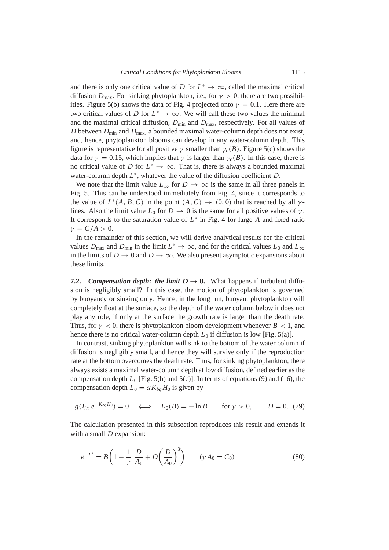and there is only one critical value of *D* for  $L^* \to \infty$ , called the maximal critical diffusion  $D_{\text{max}}$ . For sinking phytoplankton, i.e., for  $\gamma > 0$ , there are two possibil-ities. Figure [5\(](#page-19-0)b) shows the data of Fig. [4](#page-18-0) projected onto  $\gamma = 0.1$ . Here there are two critical values of *D* for  $L^* \to \infty$ . We will call these two values the minimal and the maximal critical diffusion,  $D_{\text{min}}$  and  $D_{\text{max}}$ , respectively. For all values of *D* between  $D_{\text{min}}$  and  $D_{\text{max}}$ , a bounded maximal water-column depth does not exist, and, hence, phytoplankton blooms can develop in any water-column depth. This figure is representative for all positive  $\gamma$  smaller than  $\gamma_c(B)$ . Figure [5\(](#page-19-0)c) shows the data for  $\gamma = 0.15$ , which implies that  $\gamma$  is larger than  $\gamma_c(B)$ . In this case, there is no critical value of *D* for  $L^* \to \infty$ . That is, there is always a bounded maximal water-column depth *L* ∗ , whatever the value of the diffusion coefficient *D*.

We note that the limit value  $L_{\infty}$  for  $D \to \infty$  is the same in all three panels in Fig. [5.](#page-19-0) This can be understood immediately from Fig. [4,](#page-18-0) since it corresponds to the value of  $L^*(A, B, C)$  in the point  $(A, C) \rightarrow (0, 0)$  that is reached by all  $\gamma$ lines. Also the limit value  $L_0$  for  $D \to 0$  is the same for all positive values of  $\gamma$ . It corresponds to the saturation value of  $L^*$  in Fig. [4](#page-18-0) for large A and fixed ratio  $\gamma = C/A > 0.$ 

In the remainder of this section, we will derive analytical results for the critical values  $D_{\text{max}}$  and  $D_{\text{min}}$  in the limit  $L^* \to \infty$ , and for the critical values  $L_0$  and  $L_{\infty}$ in the limits of *D*  $\rightarrow$  0 and *D*  $\rightarrow \infty$ . We also present asymptotic expansions about these limits.

**7.2.** *Compensation depth: the limit*  $D \rightarrow 0$ *.* What happens if turbulent diffusion is negligibly small? In this case, the motion of phytoplankton is governed by buoyancy or sinking only. Hence, in the long run, buoyant phytoplankton will completely float at the surface, so the depth of the water column below it does not play any role, if only at the surface the growth rate is larger than the death rate. Thus, for  $\gamma < 0$ , there is phytoplankton bloom development whenever  $B < 1$ , and hence there is no critical water-column depth  $L_0$  if diffusion is low [Fig. [5\(](#page-19-0)a)].

In contrast, sinking phytoplankton will sink to the bottom of the water column if diffusion is negligibly small, and hence they will survive only if the reproduction rate at the bottom overcomes the death rate. Thus, for sinking phytoplankton, there always exists a maximal water-column depth at low diffusion, defined earlier as the compensation depth  $L_0$  [Fig. [5\(](#page-19-0)b) and 5(c)]. In terms of equations [\(9\)](#page-4-3) and [\(16\)](#page-5-4), the compensation depth  $L_0 = \alpha K_{b} H_0$  is given by

<span id="page-20-1"></span>
$$
g(I_{in} e^{-K_{bg}H_0}) = 0 \iff L_0(B) = -\ln B \text{ for } \gamma > 0, \qquad D = 0.
$$
 (79)

The calculation presented in this subsection reproduces this result and extends it with a small *D* expansion:

<span id="page-20-0"></span>
$$
e^{-L^*} = B\left(1 - \frac{1}{\gamma} \frac{D}{A_0} + O\left(\frac{D}{A_0}\right)^3\right) \qquad (\gamma A_0 = C_0)
$$
\n(80)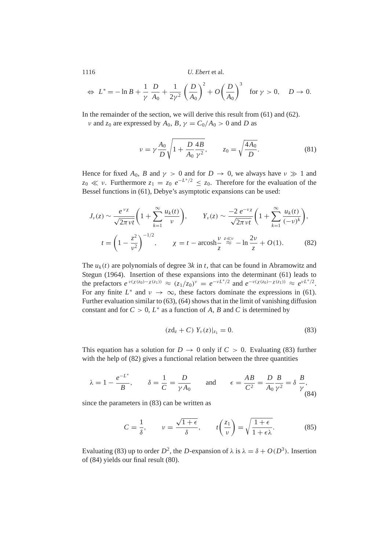$$
\Leftrightarrow L^* = -\ln B + \frac{1}{\gamma} \frac{D}{A_0} + \frac{1}{2\gamma^2} \left(\frac{D}{A_0}\right)^2 + O\left(\frac{D}{A_0}\right)^3 \text{ for } \gamma > 0, \quad D \to 0.
$$

In the remainder of the section, we will derive this result from  $(61)$  and  $(62)$ .

*v* and  $z_0$  are expressed by  $A_0$ ,  $B$ ,  $\gamma = C_0/A_0 > 0$  and *D* as

$$
\nu = \gamma \frac{A_0}{D} \sqrt{1 + \frac{D}{A_0} \frac{4B}{\gamma^2}}, \qquad z_0 = \sqrt{\frac{4A_0}{D}}.
$$
 (81)

Hence for fixed  $A_0$ , *B* and  $\gamma > 0$  and for  $D \to 0$ , we always have  $\nu \gg 1$  and  $z_0 \ll v$ . Furthermore  $z_1 = z_0 e^{-L^*/2} \le z_0$ . Therefore for the evaluation of the Bessel functions in [\(61\)](#page-14-2), Debye's asymptotic expansions can be used:

<span id="page-21-1"></span>
$$
J_{\nu}(z) \sim \frac{e^{\nu \chi}}{\sqrt{2\pi \nu t}} \left( 1 + \sum_{k=1}^{\infty} \frac{u_k(t)}{\nu} \right), \qquad Y_{\nu}(z) \sim \frac{-2 e^{-\nu \chi}}{\sqrt{2\pi \nu t}} \left( 1 + \sum_{k=1}^{\infty} \frac{u_k(t)}{(-\nu)^k} \right),
$$
  

$$
t = \left( 1 - \frac{z^2}{\nu^2} \right)^{-1/2}, \qquad \chi = t - \operatorname{arcosh} \frac{\nu}{z} \stackrel{z \ll \nu}{\approx} - \ln \frac{2\nu}{z} + O(1). \tag{82}
$$

The  $u_k(t)$  are polynomials of degree 3k in t, that can be found in [Abramowitz and](#page-27-6) [Stegun](#page-27-6) [\(1964\)](#page-27-6). Insertion of these expansions into the determinant [\(61\)](#page-14-2) leads to the prefactors  $e^{\nu(\chi(z_0)-\chi(z_1))} \approx (z_1/z_0)^{\nu} = e^{-\nu L^*/2}$  and  $e^{-\nu(\chi(z_0)-\chi(z_1))} \approx e^{\nu L^*/2}$ . For any finite  $L^*$  and  $\nu \to \infty$ , these factors dominate the expressions in [\(61\)](#page-14-2). Further evaluation similar to [\(63\)](#page-15-1), [\(64\)](#page-15-2) shows that in the limit of vanishing diffusion constant and for  $C > 0$ ,  $L^*$  as a function of A, B and C is determined by

<span id="page-21-0"></span>
$$
(zd_z + C) Y_{\nu}(z)|_{z_1} = 0.
$$
 (83)

This equation has a solution for  $D \to 0$  only if  $C > 0$ . Evaluating [\(83\)](#page-21-0) further with the help of [\(82\)](#page-21-1) gives a functional relation between the three quantities

<span id="page-21-2"></span>
$$
\lambda = 1 - \frac{e^{-L^*}}{B}, \qquad \delta = \frac{1}{C} = \frac{D}{\gamma A_0}
$$
 and  $\epsilon = \frac{AB}{C^2} = \frac{D}{A_0} \frac{B}{\gamma^2} = \delta \frac{B}{\gamma}$  (84)

since the parameters in [\(83\)](#page-21-0) can be written as

$$
C = \frac{1}{\delta}, \qquad \nu = \frac{\sqrt{1+\epsilon}}{\delta}, \qquad t\left(\frac{z_1}{\nu}\right) = \sqrt{\frac{1+\epsilon}{1+\epsilon\lambda}}.\tag{85}
$$

Evaluating [\(83\)](#page-21-0) up to order  $D^2$ , the *D*-expansion of  $\lambda$  is  $\lambda = \delta + O(D^3)$ . Insertion of [\(84\)](#page-21-2) yields our final result [\(80\)](#page-20-0).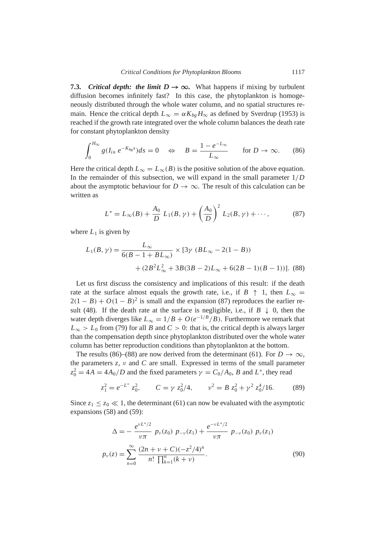**7.3.** *Critical depth: the limit*  $D \rightarrow \infty$ . What happens if mixing by turbulent diffusion becomes infinitely fast? In this case, the phytoplankton is homogeneously distributed through the whole water column, and no spatial structures remain. Hence the critical depth  $L_{\infty} = \alpha K_{bg} H_{\infty}$  as defined by [Sverdrup](#page-28-0) [\(1953\)](#page-28-0) is reached if the growth rate integrated over the whole column balances the death rate for constant phytoplankton density

<span id="page-22-1"></span>
$$
\int_0^{H_{\infty}} g(I_{in} e^{-K_{bg}s}) ds = 0 \quad \Leftrightarrow \quad B = \frac{1 - e^{-L_{\infty}}}{L_{\infty}} \qquad \text{for } D \to \infty. \tag{86}
$$

Here the critical depth  $L_{\infty} = L_{\infty}(B)$  is the positive solution of the above equation. In the remainder of this subsection, we will expand in the small parameter 1/*D* about the asymptotic behaviour for  $D \to \infty$ . The result of this calculation can be written as

<span id="page-22-0"></span>
$$
L^* = L_{\infty}(B) + \frac{A_0}{D} L_1(B, \gamma) + \left(\frac{A_0}{D}\right)^2 L_2(B, \gamma) + \cdots,
$$
 (87)

where  $L_1$  is given by

<span id="page-22-2"></span>
$$
L_1(B, \gamma) = \frac{L_{\infty}}{6(B - 1 + BL_{\infty})} \times [3\gamma (BL_{\infty} - 2(1 - B)) + (2B^2L_{\infty}^2 + 3B(3B - 2)L_{\infty} + 6(2B - 1)(B - 1))].
$$
 (88)

Let us first discuss the consistency and implications of this result: if the death rate at the surface almost equals the growth rate, i.e., if  $B \uparrow 1$ , then  $L_{\infty} =$  $2(1 - B) + O(1 - B)^2$  is small and the expansion [\(87\)](#page-22-0) reproduces the earlier re-sult [\(48\)](#page-11-3). If the death rate at the surface is negligible, i.e., if  $B \downarrow 0$ , then the water depth diverges like  $L_{\infty} = 1/B + O(e^{-1/B}/B)$ . Furthermore we remark that  $L_{\infty} > L_0$  from [\(79\)](#page-20-1) for all *B* and *C* > 0: that is, the critical depth is always larger than the compensation depth since phytoplankton distributed over the whole water column has better reproduction conditions than phytoplankton at the bottom.

The results [\(86\)](#page-22-1)–[\(88\)](#page-22-2) are now derived from the determinant [\(61\)](#page-14-2). For  $D \to \infty$ , the parameters  $z$ ,  $v$  and  $C$  are small. Expressed in terms of the small parameter  $z_0^2 = 4A = 4A_0/D$  and the fixed parameters  $\gamma = C_0/A_0$ , *B* and *L*<sup>\*</sup>, they read

$$
z_1^2 = e^{-L^*} z_0^2
$$
,  $C = \gamma z_0^2/4$ ,  $v^2 = B z_0^2 + \gamma^2 z_0^4/16$ . (89)

Since  $z_1 \le z_0 \ll 1$ , the determinant [\(61\)](#page-14-2) can now be evaluated with the asymptotic expansions [\(58\)](#page-14-3) and [\(59\)](#page-14-5):

$$
\Delta = -\frac{e^{\nu L^*/2}}{\nu \pi} p_{\nu}(z_0) p_{-\nu}(z_1) + \frac{e^{-\nu L^*/2}}{\nu \pi} p_{-\nu}(z_0) p_{\nu}(z_1)
$$
  

$$
p_{\nu}(z) = \sum_{n=0}^{\infty} \frac{(2n+\nu+C)(-z^2/4)^n}{n! \prod_{k=1}^n (k+\nu)}.
$$
 (90)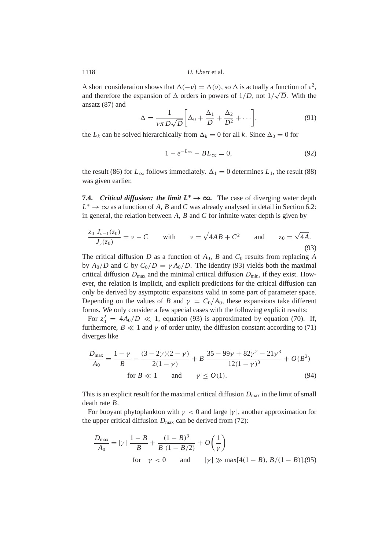A short consideration shows that  $\Delta(-v) = \Delta(v)$ , so  $\Delta$  is actually a function of  $v^2$ , and therefore the expansion of  $\Delta$  orders in powers of  $1/D$ , not  $1/\sqrt{D}$ . With the ansatz [\(87\)](#page-22-0) and

$$
\Delta = \frac{1}{\nu \pi D \sqrt{D}} \bigg[ \Delta_0 + \frac{\Delta_1}{D} + \frac{\Delta_2}{D^2} + \cdots \bigg],\tag{91}
$$

the  $L_k$  can be solved hierarchically from  $\Delta_k = 0$  for all *k*. Since  $\Delta_0 = 0$  for

$$
1 - e^{-L_{\infty}} - BL_{\infty} = 0,
$$
\n(92)

the result [\(86\)](#page-22-1) for  $L_{\infty}$  follows immediately.  $\Delta_1 = 0$  determines  $L_1$ , the result [\(88\)](#page-22-2) was given earlier.

**7.4.** *Critical diffusion: the limit*  $L^* \to \infty$ . The case of diverging water depth  $L^* \to \infty$  as a function of *A*, *B* and *C* was already analysed in detail in Section [6.2:](#page-15-0) in general, the relation between *A*, *B* and *C* for infinite water depth is given by

<span id="page-23-0"></span>
$$
\frac{z_0 J_{\nu-1}(z_0)}{J_{\nu}(z_0)} = \nu - C \quad \text{with} \quad \nu = \sqrt{4AB + C^2} \quad \text{and} \quad z_0 = \sqrt{4A}.
$$
\n(93)

The critical diffusion *D* as a function of  $A_0$ , *B* and  $C_0$  results from replacing *A* by  $A_0/D$  and *C* by  $C_0/D = \gamma A_0/D$ . The identity [\(93\)](#page-23-0) yields both the maximal critical diffusion  $D_{\text{max}}$  and the minimal critical diffusion  $D_{\text{min}}$ , if they exist. However, the relation is implicit, and explicit predictions for the critical diffusion can only be derived by asymptotic expansions valid in some part of parameter space. Depending on the values of *B* and  $\gamma = C_0/A_0$ , these expansions take different forms. We only consider a few special cases with the following explicit results:

For  $z_0^2 = 4A_0/D \ll 1$ , equation [\(93\)](#page-23-0) is approximated by equation [\(70\)](#page-16-0). If, furthermore,  $B \ll 1$  and  $\gamma$  of order unity, the diffusion constant according to [\(71\)](#page-16-2) diverges like

$$
\frac{D_{\text{max}}}{A_0} = \frac{1 - \gamma}{B} - \frac{(3 - 2\gamma)(2 - \gamma)}{2(1 - \gamma)} + B \frac{35 - 99\gamma + 82\gamma^2 - 21\gamma^3}{12(1 - \gamma)^3} + O(B^2)
$$
  
for  $B \ll 1$  and  $\gamma \le O(1)$ . (94)

This is an explicit result for the maximal critical diffusion  $D_{\text{max}}$  in the limit of small death rate *B*.

For buoyant phytoplankton with  $\gamma < 0$  and large  $|\gamma|$ , another approximation for the upper critical diffusion  $D_{\text{max}}$  can be derived from [\(72\)](#page-16-3):

$$
\frac{D_{\text{max}}}{A_0} = |\gamma| \frac{1 - B}{B} + \frac{(1 - B)^3}{B (1 - B/2)} + O\left(\frac{1}{\gamma}\right)
$$
  
for  $\gamma < 0$  and  $|\gamma| \gg \max[4(1 - B), B/(1 - B)]$ . (95)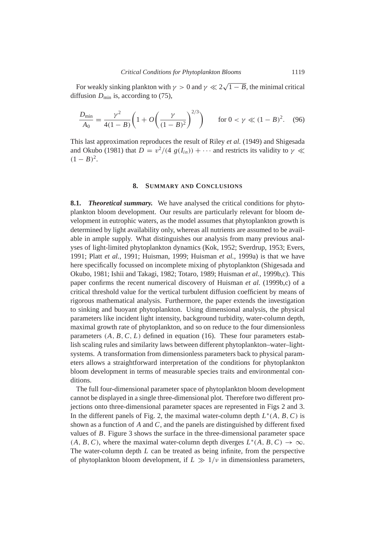For weakly sinking plankton with  $\gamma > 0$  and  $\gamma \ll 2$ √  $\overline{1-B}$ , the minimal critical diffusion  $D_{\text{min}}$  is, according to [\(75\)](#page-16-4),

$$
\frac{D_{\min}}{A_0} = \frac{\gamma^2}{4(1-B)} \left( 1 + O\left(\frac{\gamma}{(1-B)^2}\right)^{2/3} \right) \quad \text{for } 0 < \gamma \ll (1-B)^2. \tag{96}
$$

This last approximation reproduces the result of [Riley](#page-28-4) *et al.* [\(1949\)](#page-28-4) and [Shigesada](#page-28-5) [and Okubo](#page-28-5) [\(1981\)](#page-28-5) that  $D = v^2/(4 g(I_{in})) + \cdots$  and restricts its validity to  $\gamma \ll$  $(1 - B)^2$ .

#### **8. SUMMARY AND CONCLUSIONS**

<span id="page-24-0"></span>**8.1.** *Theoretical summary.* We have analysed the critical conditions for phytoplankton bloom development. Our results are particularly relevant for bloom development in eutrophic waters, as the model assumes that phytoplankton growth is determined by light availability only, whereas all nutrients are assumed to be available in ample supply. What distinguishes our analysis from many previous analyses of light-limited phytoplankton dynamics [\(Kok,](#page-28-14) [1952;](#page-28-14) [Sverdrup,](#page-28-0) [1953;](#page-28-0) [Evers,](#page-27-7) [1991;](#page-27-7) Platt *[et al.](#page-28-1)*, [1991;](#page-28-1) [Huisman,](#page-27-3) [1999;](#page-27-3) [Huisman](#page-28-3) *et al.*, [1999a\)](#page-28-3) is that we have here specifically focussed on incomplete mixing of phytoplankton [\(Shigesada and](#page-28-5) [Okubo,](#page-28-5) [1981;](#page-28-5) [Ishii and Takagi,](#page-28-15) [1982;](#page-28-15) [Totaro,](#page-28-6) [1989;](#page-28-6) [Huisman](#page-28-7) *et al.*, [1999b,](#page-28-7)[c\)](#page-28-8). This paper confirms the recent numerical discovery of [Huisman](#page-28-7) *et al.* [\(1999b,](#page-28-7)[c\)](#page-28-8) of a critical threshold value for the vertical turbulent diffusion coefficient by means of rigorous mathematical analysis. Furthermore, the paper extends the investigation to sinking and buoyant phytoplankton. Using dimensional analysis, the physical parameters like incident light intensity, background turbidity, water-column depth, maximal growth rate of phytoplankton, and so on reduce to the four dimensionless parameters  $(A, B, C, L)$  defined in equation [\(16\)](#page-5-4). These four parameters establish scaling rules and similarity laws between different phytoplankton–water–lightsystems. A transformation from dimensionless parameters back to physical parameters allows a straightforward interpretation of the conditions for phytoplankton bloom development in terms of measurable species traits and environmental conditions.

The full four-dimensional parameter space of phytoplankton bloom development cannot be displayed in a single three-dimensional plot. Therefore two different projections onto three-dimensional parameter spaces are represented in Figs [2](#page-12-0) and [3.](#page-13-1) In the different panels of Fig. [2,](#page-12-0) the maximal water-column depth  $L^*(A, B, C)$  is shown as a function of *A* and *C*, and the panels are distinguished by different fixed values of *B*. Figure [3](#page-13-1) shows the surface in the three-dimensional parameter space  $(A, B, C)$ , where the maximal water-column depth diverges  $L^*(A, B, C) \to \infty$ . The water-column depth *L* can be treated as being infinite, from the perspective of phytoplankton bloom development, if  $L \gg 1/\nu$  in dimensionless parameters,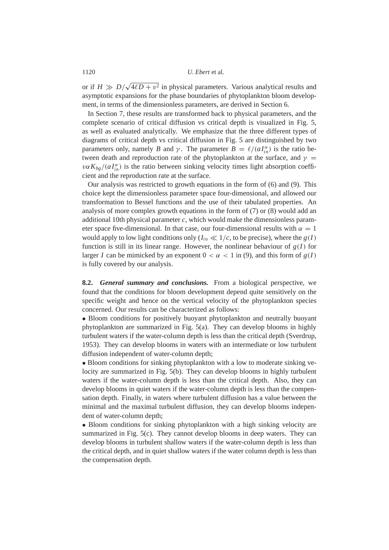or if  $H \gg D/$ √  $4\ell D + v^2$  in physical parameters. Various analytical results and asymptotic expansions for the phase boundaries of phytoplankton bloom development, in terms of the dimensionless parameters, are derived in Section [6.](#page-13-0)

In Section [7,](#page-17-0) these results are transformed back to physical parameters, and the complete scenario of critical diffusion vs critical depth is visualized in Fig. [5,](#page-19-0) as well as evaluated analytically. We emphasize that the three different types of diagrams of critical depth vs critical diffusion in Fig. [5](#page-19-0) are distinguished by two parameters only, namely *B* and  $\gamma$ . The parameter  $B = \ell/(aI_{in}^{\alpha})$  is the ratio between death and reproduction rate of the phytoplankton at the surface, and  $\gamma$  =  $v\alpha K_{bg}/(aI_{in}^{\alpha})$  is the ratio between sinking velocity times light absorption coefficient and the reproduction rate at the surface.

Our analysis was restricted to growth equations in the form of [\(6\)](#page-4-0) and [\(9\)](#page-4-3). This choice kept the dimensionless parameter space four-dimensional, and allowed our transformation to Bessel functions and the use of their tabulated properties. An analysis of more complex growth equations in the form of [\(7\)](#page-4-1) or [\(8\)](#page-4-2) would add an additional 10th physical parameter *c*, which would make the dimensionless parameter space five-dimensional. In that case, our four-dimensional results with  $\alpha = 1$ would apply to low light conditions only ( $I<sub>in</sub> \ll 1/c$ , to be precise), where the  $g(I)$ function is still in its linear range. However, the nonlinear behaviour of  $g(I)$  for larger *I* can be mimicked by an exponent  $0 < \alpha < 1$  in [\(9\)](#page-4-3), and this form of  $g(I)$ is fully covered by our analysis.

**8.2.** *General summary and conclusions.* From a biological perspective, we found that the conditions for bloom development depend quite sensitively on the specific weight and hence on the vertical velocity of the phytoplankton species concerned. Our results can be characterized as follows:

• Bloom conditions for positively buoyant phytoplankton and neutrally buoyant phytoplankton are summarized in Fig. [5\(](#page-19-0)a). They can develop blooms in highly turbulent waters if the water-column depth is less than the critical depth [\(Sverdrup,](#page-28-0) [1953\)](#page-28-0). They can develop blooms in waters with an intermediate or low turbulent diffusion independent of water-column depth;

• Bloom conditions for sinking phytoplankton with a low to moderate sinking velocity are summarized in Fig. [5\(](#page-19-0)b). They can develop blooms in highly turbulent waters if the water-column depth is less than the critical depth. Also, they can develop blooms in quiet waters if the water-column depth is less than the compensation depth. Finally, in waters where turbulent diffusion has a value between the minimal and the maximal turbulent diffusion, they can develop blooms independent of water-column depth;

• Bloom conditions for sinking phytoplankton with a high sinking velocity are summarized in Fig. [5\(](#page-19-0)c). They cannot develop blooms in deep waters. They can develop blooms in turbulent shallow waters if the water-column depth is less than the critical depth, and in quiet shallow waters if the water column depth is less than the compensation depth.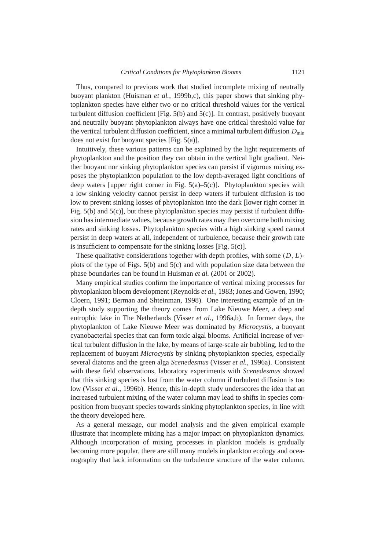Thus, compared to previous work that studied incomplete mixing of neutrally buoyant plankton [\(Huisman](#page-28-7) *et al.*, [1999b,](#page-28-7)[c\)](#page-28-8), this paper shows that sinking phytoplankton species have either two or no critical threshold values for the vertical turbulent diffusion coefficient [Fig.  $5(b)$  $5(b)$  and  $5(c)$ ]. In contrast, positively buoyant and neutrally buoyant phytoplankton always have one critical threshold value for the vertical turbulent diffusion coefficient, since a minimal turbulent diffusion  $D_{\text{min}}$ does not exist for buoyant species [Fig. [5\(](#page-19-0)a)].

Intuitively, these various patterns can be explained by the light requirements of phytoplankton and the position they can obtain in the vertical light gradient. Neither buoyant nor sinking phytoplankton species can persist if vigorous mixing exposes the phytoplankton population to the low depth-averaged light conditions of deep waters [upper right corner in Fig.  $5(a)$  $5(a)$ – $5(c)$ ]. Phytoplankton species with a low sinking velocity cannot persist in deep waters if turbulent diffusion is too low to prevent sinking losses of phytoplankton into the dark [lower right corner in Fig. [5\(](#page-19-0)b) and [5\(](#page-19-0)c)], but these phytoplankton species may persist if turbulent diffusion has intermediate values, because growth rates may then overcome both mixing rates and sinking losses. Phytoplankton species with a high sinking speed cannot persist in deep waters at all, independent of turbulence, because their growth rate is insufficient to compensate for the sinking losses [Fig. [5\(](#page-19-0)c)].

These qualitative considerations together with depth profiles, with some (*D*, *L*) plots of the type of Figs. [5\(](#page-19-0)b) and [5\(](#page-19-0)c) and with population size data between the phase boundaries can be found in [Huisman](#page-27-8) *et al.* [\(2001 or 2002\)](#page-27-8).

Many empirical studies confirm the importance of vertical mixing processes for phytoplankton bloom development [\(Reynolds](#page-28-16) *et al.*, [1983;](#page-28-16) [Jones and Gowen,](#page-28-17) [1990;](#page-28-17) [Cloern,](#page-27-9) [1991;](#page-27-9) [Berman and Shteinman,](#page-27-10) [1998\)](#page-27-10). One interesting example of an indepth study supporting the theory comes from Lake Nieuwe Meer, a deep and eutrophic lake in The Netherlands [\(Visser](#page-28-18) *et al.*, [1996a](#page-28-18)[,b\)](#page-29-2). In former days, the phytoplankton of Lake Nieuwe Meer was dominated by *Microcystis*, a buoyant cyanobacterial species that can form toxic algal blooms. Artificial increase of vertical turbulent diffusion in the lake, by means of large-scale air bubbling, led to the replacement of buoyant *Microcystis* by sinking phytoplankton species, especially several diatoms and the green alga *Scenedesmus* [\(Visser](#page-28-18) *et al.*, [1996a\)](#page-28-18). Consistent with these field observations, laboratory experiments with *Scenedesmus* showed that this sinking species is lost from the water column if turbulent diffusion is too low [\(Visser](#page-29-2) *et al.*, [1996b\)](#page-29-2). Hence, this in-depth study underscores the idea that an increased turbulent mixing of the water column may lead to shifts in species composition from buoyant species towards sinking phytoplankton species, in line with the theory developed here.

As a general message, our model analysis and the given empirical example illustrate that incomplete mixing has a major impact on phytoplankton dynamics. Although incorporation of mixing processes in plankton models is gradually becoming more popular, there are still many models in plankton ecology and oceanography that lack information on the turbulence structure of the water column.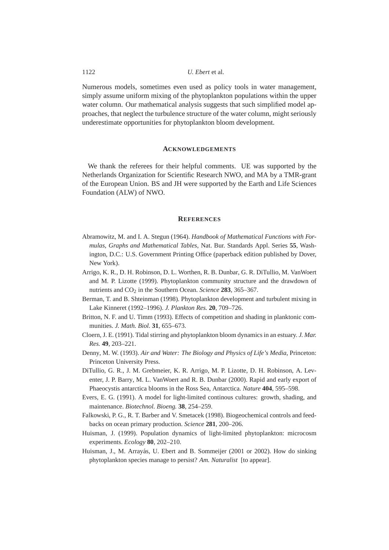Numerous models, sometimes even used as policy tools in water management, simply assume uniform mixing of the phytoplankton populations within the upper water column. Our mathematical analysis suggests that such simplified model approaches, that neglect the turbulence structure of the water column, might seriously underestimate opportunities for phytoplankton bloom development.

# **ACKNOWLEDGEMENTS**

We thank the referees for their helpful comments. UE was supported by the Netherlands Organization for Scientific Research NWO, and MA by a TMR-grant of the European Union. BS and JH were supported by the Earth and Life Sciences Foundation (ALW) of NWO.

# **REFERENCES**

- <span id="page-27-6"></span>Abramowitz, M. and I. A. Stegun (1964). *Handbook of Mathematical Functions with Formulas, Graphs and Mathematical Tables*, Nat. Bur. Standards Appl. Series **55**, Washington, D.C.: U.S. Government Printing Office (paperback edition published by Dover, New York).
- <span id="page-27-1"></span>Arrigo, K. R., D. H. Robinson, D. L. Worthen, R. B. Dunbar, G. R. DiTullio, M. VanWoert and M. P. Lizotte (1999). Phytoplankton community structure and the drawdown of nutrients and CO<sub>2</sub> in the Southern Ocean. *Science* 283, 365–367.
- <span id="page-27-10"></span>Berman, T. and B. Shteinman (1998). Phytoplankton development and turbulent mixing in Lake Kinneret (1992–1996). *J. Plankton Res.* **20**, 709–726.
- <span id="page-27-4"></span>Britton, N. F. and U. Timm (1993). Effects of competition and shading in planktonic communities. *J. Math. Biol.* **31**, 655–673.
- <span id="page-27-9"></span>Cloern, J. E. (1991). Tidal stirring and phytoplankton bloom dynamics in an estuary. *J. Mar. Res.* **49**, 203–221.
- <span id="page-27-5"></span>Denny, M. W. (1993). *Air and Water: The Biology and Physics of Life's Media*, Princeton: Princeton University Press.
- <span id="page-27-2"></span>DiTullio, G. R., J. M. Grebmeier, K. R. Arrigo, M. P. Lizotte, D. H. Robinson, A. Leventer, J. P. Barry, M. L. VanWoert and R. B. Dunbar (2000). Rapid and early export of Phaeocystis antarctica blooms in the Ross Sea, Antarctica. *Nature* **404**, 595–598.
- <span id="page-27-7"></span>Evers, E. G. (1991). A model for light-limited continous cultures: growth, shading, and maintenance. *Biotechnol. Bioeng.* **38**, 254–259.
- <span id="page-27-0"></span>Falkowski, P. G., R. T. Barber and V. Smetacek (1998). Biogeochemical controls and feedbacks on ocean primary production. *Science* **281**, 200–206.
- <span id="page-27-3"></span>Huisman, J. (1999). Population dynamics of light-limited phytoplankton: microcosm experiments. *Ecology* **80**, 202–210.
- <span id="page-27-8"></span>Huisman, J., M. Arrayás, U. Ebert and B. Sommeijer (2001 or 2002). How do sinking phytoplankton species manage to persist? *Am. Naturalist* [to appear].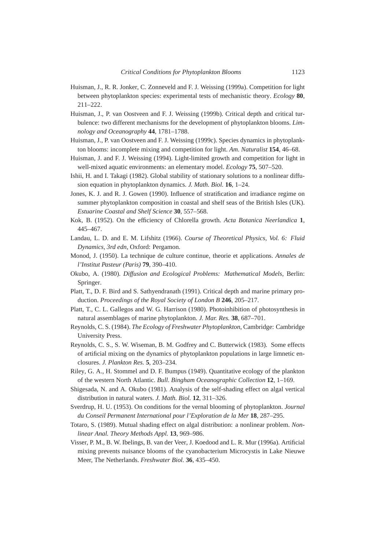- <span id="page-28-3"></span>Huisman, J., R. R. Jonker, C. Zonneveld and F. J. Weissing (1999a). Competition for light between phytoplankton species: experimental tests of mechanistic theory. *Ecology* **80**, 211–222.
- <span id="page-28-7"></span>Huisman, J., P. van Oostveen and F. J. Weissing (1999b). Critical depth and critical turbulence: two different mechanisms for the development of phytoplankton blooms. *Limnology and Oceanography* **44**, 1781–1788.
- <span id="page-28-8"></span>Huisman, J., P. van Oostveen and F. J. Weissing (1999c). Species dynamics in phytoplankton blooms: incomplete mixing and competition for light. *Am. Naturalist* **154**, 46–68.
- <span id="page-28-2"></span>Huisman, J. and F. J. Weissing (1994). Light-limited growth and competition for light in well-mixed aquatic environments: an elementary model. *Ecology* **75**, 507–520.
- <span id="page-28-15"></span>Ishii, H. and I. Takagi (1982). Global stability of stationary solutions to a nonlinear diffusion equation in phytoplankton dynamics. *J. Math. Biol.* **16**, 1–24.
- <span id="page-28-17"></span>Jones, K. J. and R. J. Gowen (1990). Influence of stratification and irradiance regime on summer phytoplankton composition in coastal and shelf seas of the British Isles (UK). *Estuarine Coastal and Shelf Science* **30**, 557–568.
- <span id="page-28-14"></span>Kok, B. (1952). On the efficiency of Chlorella growth. *Acta Botanica Neerlandica* **1**, 445–467.
- <span id="page-28-10"></span>Landau, L. D. and E. M. Lifshitz (1966). *Course of Theoretical Physics, Vol. 6: Fluid Dynamics, 3rd edn*, Oxford: Pergamon.
- <span id="page-28-12"></span>Monod, J. (1950). La technique de culture continue, theorie et applications. *Annales de l'Institut Pasteur (Paris)* **79**, 390–410.
- <span id="page-28-9"></span>Okubo, A. (1980). *Diffusion and Ecological Problems: Mathematical Models*, Berlin: Springer.
- <span id="page-28-1"></span>Platt, T., D. F. Bird and S. Sathyendranath (1991). Critical depth and marine primary production. *Proceedings of the Royal Society of London B* **246**, 205–217.
- <span id="page-28-13"></span>Platt, T., C. L. Gallegos and W. G. Harrison (1980). Photoinhibition of photosynthesis in natural assemblages of marine phytoplankton. *J. Mar. Res.* **38**, 687–701.
- <span id="page-28-11"></span>Reynolds, C. S. (1984). *The Ecology of Freshwater Phytoplankton*, Cambridge: Cambridge University Press.
- <span id="page-28-16"></span>Reynolds, C. S., S. W. Wiseman, B. M. Godfrey and C. Butterwick (1983). Some effects of artificial mixing on the dynamics of phytoplankton populations in large limnetic enclosures. *J. Plankton Res.* **5**, 203–234.
- <span id="page-28-4"></span>Riley, G. A., H. Stommel and D. F. Bumpus (1949). Quantitative ecology of the plankton of the western North Atlantic. *Bull. Bingham Oceanographic Collection* **12**, 1–169.
- <span id="page-28-5"></span>Shigesada, N. and A. Okubo (1981). Analysis of the self-shading effect on algal vertical distribution in natural waters. *J. Math. Biol.* **12**, 311–326.
- <span id="page-28-0"></span>Sverdrup, H. U. (1953). On conditions for the vernal blooming of phytoplankton. *Journal du Conseil Permanent International pour l'Exploration de la Mer* **18**, 287–295.
- <span id="page-28-6"></span>Totaro, S. (1989). Mutual shading effect on algal distribution: a nonlinear problem. *Nonlinear Anal. Theory Methods Appl.* **13**, 969–986.
- <span id="page-28-18"></span>Visser, P. M., B. W. Ibelings, B. van der Veer, J. Koedood and L. R. Mur (1996a). Artificial mixing prevents nuisance blooms of the cyanobacterium Microcystis in Lake Nieuwe Meer, The Netherlands. *Freshwater Biol.* **36**, 435–450.